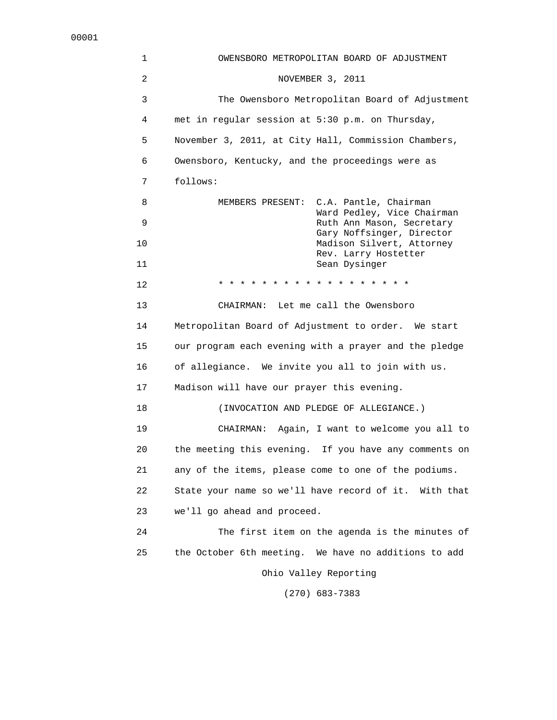1 OWENSBORO METROPOLITAN BOARD OF ADJUSTMENT 2 NOVEMBER 3, 2011 3 The Owensboro Metropolitan Board of Adjustment 4 met in regular session at 5:30 p.m. on Thursday, 5 November 3, 2011, at City Hall, Commission Chambers, 6 Owensboro, Kentucky, and the proceedings were as 7 follows: 8 MEMBERS PRESENT: C.A. Pantle, Chairman Ward Pedley, Vice Chairman 9 Ruth Ann Mason, Secretary Gary Noffsinger, Director 10 Madison Silvert, Attorney Rev. Larry Hostetter 11 Sean Dysinger 12 \* \* \* \* \* \* \* \* \* \* \* \* \* \* \* \* \* \* 13 CHAIRMAN: Let me call the Owensboro 14 Metropolitan Board of Adjustment to order. We start 15 our program each evening with a prayer and the pledge 16 of allegiance. We invite you all to join with us. 17 Madison will have our prayer this evening. 18 (INVOCATION AND PLEDGE OF ALLEGIANCE.) 19 CHAIRMAN: Again, I want to welcome you all to 20 the meeting this evening. If you have any comments on 21 any of the items, please come to one of the podiums. 22 State your name so we'll have record of it. With that 23 we'll go ahead and proceed. 24 The first item on the agenda is the minutes of 25 the October 6th meeting. We have no additions to add Ohio Valley Reporting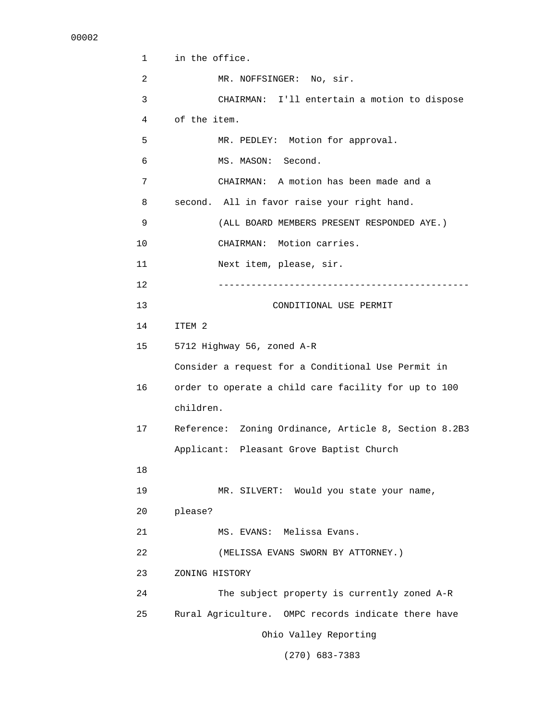```
 1 in the office. 
2 MR. NOFFSINGER: No, sir.
 3 CHAIRMAN: I'll entertain a motion to dispose 
 4 of the item. 
 5 MR. PEDLEY: Motion for approval. 
 6 MS. MASON: Second. 
 7 CHAIRMAN: A motion has been made and a 
 8 second. All in favor raise your right hand. 
 9 (ALL BOARD MEMBERS PRESENT RESPONDED AYE.) 
 10 CHAIRMAN: Motion carries. 
 11 Next item, please, sir. 
 12 ---------------------------------------------- 
 13 CONDITIONAL USE PERMIT 
 14 ITEM 2 
 15 5712 Highway 56, zoned A-R 
      Consider a request for a Conditional Use Permit in 
 16 order to operate a child care facility for up to 100 
      children. 
 17 Reference: Zoning Ordinance, Article 8, Section 8.2B3 
      Applicant: Pleasant Grove Baptist Church 
 18 
 19 MR. SILVERT: Would you state your name, 
 20 please? 
 21 MS. EVANS: Melissa Evans. 
 22 (MELISSA EVANS SWORN BY ATTORNEY.) 
 23 ZONING HISTORY 
 24 The subject property is currently zoned A-R 
 25 Rural Agriculture. OMPC records indicate there have 
                    Ohio Valley Reporting
```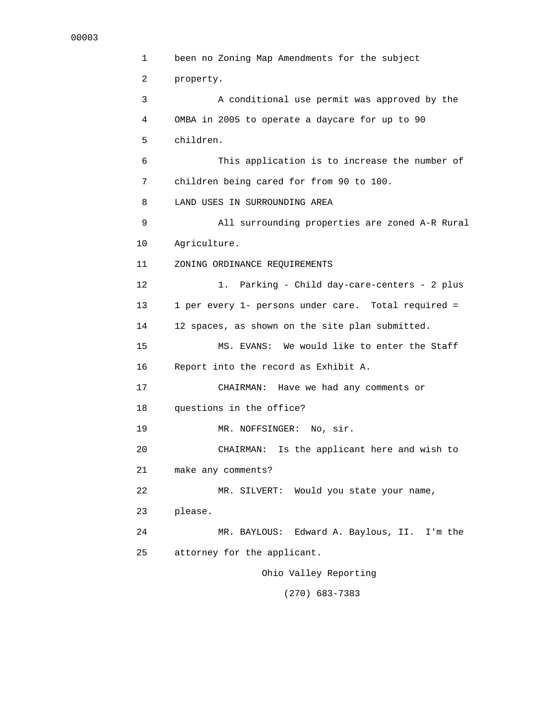```
 1 been no Zoning Map Amendments for the subject 
 2 property. 
 3 A conditional use permit was approved by the 
  4 OMBA in 2005 to operate a daycare for up to 90 
 5 children. 
 6 This application is to increase the number of 
 7 children being cared for from 90 to 100. 
 8 LAND USES IN SURROUNDING AREA 
 9 All surrounding properties are zoned A-R Rural 
 10 Agriculture. 
 11 ZONING ORDINANCE REQUIREMENTS 
 12 1. Parking - Child day-care-centers - 2 plus 
 13 1 per every 1- persons under care. Total required = 
 14 12 spaces, as shown on the site plan submitted. 
 15 MS. EVANS: We would like to enter the Staff 
 16 Report into the record as Exhibit A. 
 17 CHAIRMAN: Have we had any comments or 
 18 questions in the office? 
19 MR. NOFFSINGER: No, sir.
 20 CHAIRMAN: Is the applicant here and wish to 
 21 make any comments? 
 22 MR. SILVERT: Would you state your name, 
 23 please. 
 24 MR. BAYLOUS: Edward A. Baylous, II. I'm the 
 25 attorney for the applicant. 
                     Ohio Valley Reporting
```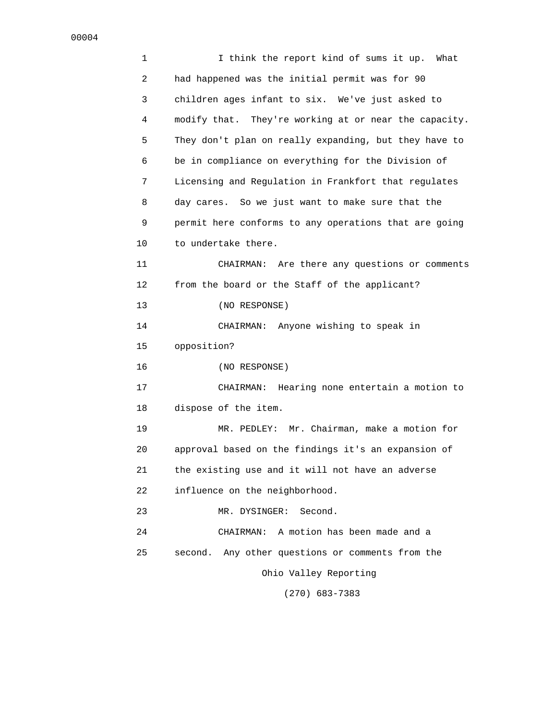| 1  | I think the report kind of sums it up.<br>What        |
|----|-------------------------------------------------------|
| 2  | had happened was the initial permit was for 90        |
| 3  | children ages infant to six. We've just asked to      |
| 4  | modify that. They're working at or near the capacity. |
| 5  | They don't plan on really expanding, but they have to |
| 6  | be in compliance on everything for the Division of    |
| 7  | Licensing and Regulation in Frankfort that regulates  |
| 8  | day cares. So we just want to make sure that the      |
| 9  | permit here conforms to any operations that are going |
| 10 | to undertake there.                                   |
| 11 | CHAIRMAN: Are there any questions or comments         |
| 12 | from the board or the Staff of the applicant?         |
| 13 | (NO RESPONSE)                                         |
| 14 | CHAIRMAN: Anyone wishing to speak in                  |
| 15 | opposition?                                           |
| 16 | (NO RESPONSE)                                         |
| 17 | Hearing none entertain a motion to<br>CHAIRMAN:       |
| 18 | dispose of the item.                                  |
| 19 | MR. PEDLEY: Mr. Chairman, make a motion for           |
| 20 | approval based on the findings it's an expansion of   |
| 21 | the existing use and it will not have an adverse      |
| 22 | influence on the neighborhood.                        |
| 23 | Second.<br>MR. DYSINGER:                              |
| 24 | CHAIRMAN: A motion has been made and a                |
| 25 | second. Any other questions or comments from the      |
|    | Ohio Valley Reporting                                 |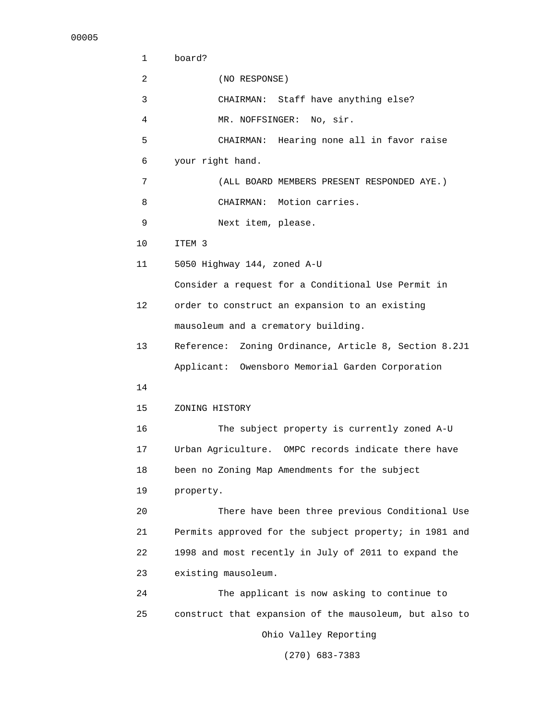| 1               | board?                                                   |
|-----------------|----------------------------------------------------------|
| 2               | (NO RESPONSE)                                            |
| 3               | CHAIRMAN: Staff have anything else?                      |
| 4               | MR. NOFFSINGER: No, sir.                                 |
| 5               | CHAIRMAN: Hearing none all in favor raise                |
| 6               | your right hand.                                         |
| 7               | (ALL BOARD MEMBERS PRESENT RESPONDED AYE.)               |
| 8               | CHAIRMAN: Motion carries.                                |
| 9               | Next item, please.                                       |
| 10              | ITEM 3                                                   |
| 11              | 5050 Highway 144, zoned A-U                              |
|                 | Consider a request for a Conditional Use Permit in       |
| 12 <sup>°</sup> | order to construct an expansion to an existing           |
|                 | mausoleum and a crematory building.                      |
| 13              | Zoning Ordinance, Article 8, Section 8.2J1<br>Reference: |
|                 | Applicant: Owensboro Memorial Garden Corporation         |
| 14              |                                                          |
| 15              | ZONING HISTORY                                           |
| 16              | The subject property is currently zoned A-U              |
| 17              | Urban Agriculture. OMPC records indicate there have      |
| 18              | been no Zoning Map Amendments for the subject            |
| 19              | property.                                                |
| 20              | There have been three previous Conditional Use           |
| 21              | Permits approved for the subject property; in 1981 and   |
| 22              | 1998 and most recently in July of 2011 to expand the     |
| 23              | existing mausoleum.                                      |
| 24              | The applicant is now asking to continue to               |
| 25              | construct that expansion of the mausoleum, but also to   |
|                 | Ohio Valley Reporting                                    |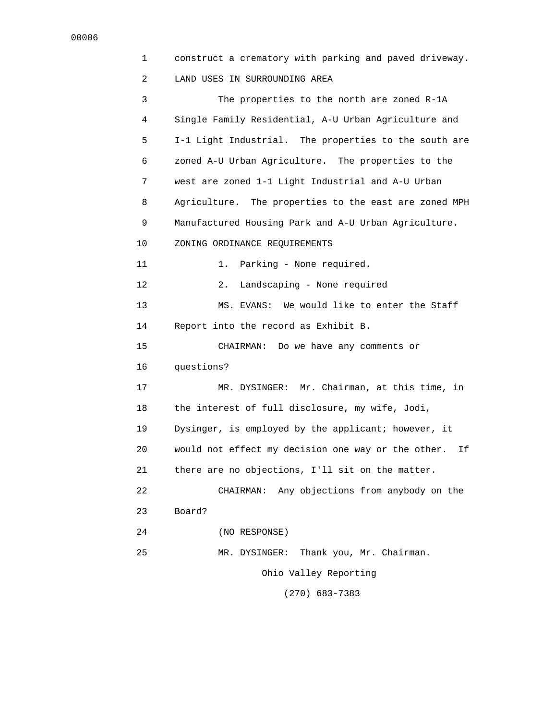1 construct a crematory with parking and paved driveway. 2 LAND USES IN SURROUNDING AREA 3 The properties to the north are zoned R-1A 4 Single Family Residential, A-U Urban Agriculture and 5 I-1 Light Industrial. The properties to the south are 6 zoned A-U Urban Agriculture. The properties to the 7 west are zoned 1-1 Light Industrial and A-U Urban 8 Agriculture. The properties to the east are zoned MPH 9 Manufactured Housing Park and A-U Urban Agriculture. 10 ZONING ORDINANCE REQUIREMENTS 11 1. Parking - None required. 12 2. Landscaping - None required 13 MS. EVANS: We would like to enter the Staff 14 Report into the record as Exhibit B. 15 CHAIRMAN: Do we have any comments or 16 questions? 17 MR. DYSINGER: Mr. Chairman, at this time, in 18 the interest of full disclosure, my wife, Jodi, 19 Dysinger, is employed by the applicant; however, it 20 would not effect my decision one way or the other. If 21 there are no objections, I'll sit on the matter. 22 CHAIRMAN: Any objections from anybody on the 23 Board? 24 (NO RESPONSE) 25 MR. DYSINGER: Thank you, Mr. Chairman. Ohio Valley Reporting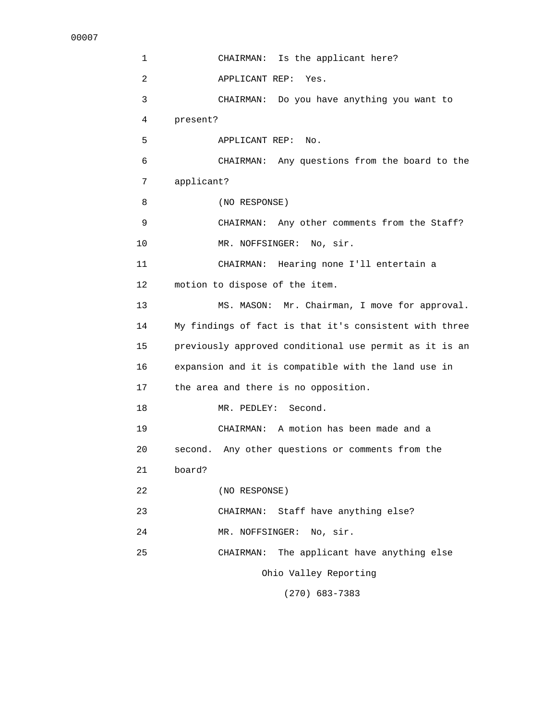1 CHAIRMAN: Is the applicant here? 2 APPLICANT REP: Yes. 3 CHAIRMAN: Do you have anything you want to 4 present? 5 APPLICANT REP: No. 6 CHAIRMAN: Any questions from the board to the 7 applicant? 8 (NO RESPONSE) 9 CHAIRMAN: Any other comments from the Staff? 10 MR. NOFFSINGER: No, sir. 11 CHAIRMAN: Hearing none I'll entertain a 12 motion to dispose of the item. 13 MS. MASON: Mr. Chairman, I move for approval. 14 My findings of fact is that it's consistent with three 15 previously approved conditional use permit as it is an 16 expansion and it is compatible with the land use in 17 the area and there is no opposition. 18 MR. PEDLEY: Second. 19 CHAIRMAN: A motion has been made and a 20 second. Any other questions or comments from the 21 board? 22 (NO RESPONSE) 23 CHAIRMAN: Staff have anything else? 24 MR. NOFFSINGER: No, sir. 25 CHAIRMAN: The applicant have anything else Ohio Valley Reporting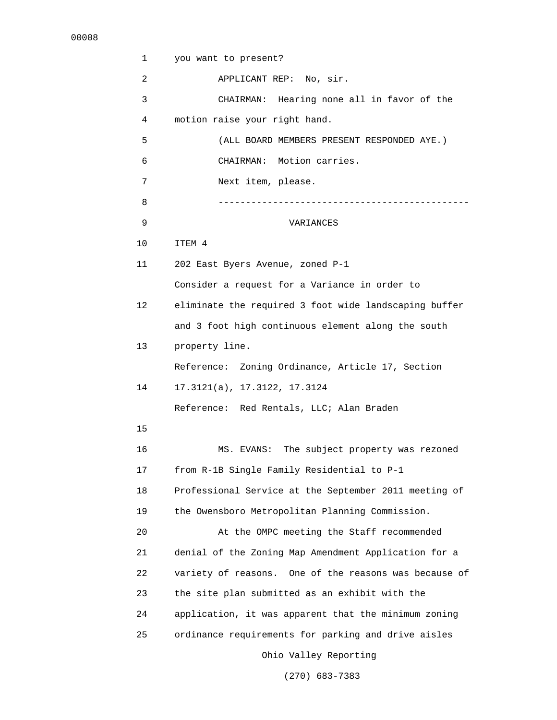| 1               | you want to present?                                  |
|-----------------|-------------------------------------------------------|
| 2               | APPLICANT REP: No, sir.                               |
| 3               | CHAIRMAN: Hearing none all in favor of the            |
| 4               | motion raise your right hand.                         |
| 5               | (ALL BOARD MEMBERS PRESENT RESPONDED AYE.)            |
| 6               | CHAIRMAN: Motion carries.                             |
| 7               | Next item, please.                                    |
| 8               |                                                       |
| 9               | VARIANCES                                             |
| 10              | ITEM 4                                                |
| 11              | 202 East Byers Avenue, zoned P-1                      |
|                 | Consider a request for a Variance in order to         |
| 12 <sup>°</sup> | eliminate the required 3 foot wide landscaping buffer |
|                 | and 3 foot high continuous element along the south    |
| 13              | property line.                                        |
|                 | Zoning Ordinance, Article 17, Section<br>Reference:   |
| 14              | 17.3121(a), 17.3122, 17.3124                          |
|                 | Reference: Red Rentals, LLC; Alan Braden              |
| 15              |                                                       |
| 16              | The subject property was rezoned<br>MS. EVANS:        |
| 17              | from R-1B Single Family Residential to P-1            |
| 18              | Professional Service at the September 2011 meeting of |
| 19              | the Owensboro Metropolitan Planning Commission.       |
| 20              | At the OMPC meeting the Staff recommended             |
| 21              | denial of the Zoning Map Amendment Application for a  |
| 22              | variety of reasons. One of the reasons was because of |
| 23              | the site plan submitted as an exhibit with the        |
| 24              | application, it was apparent that the minimum zoning  |
| 25              | ordinance requirements for parking and drive aisles   |
|                 | Ohio Valley Reporting                                 |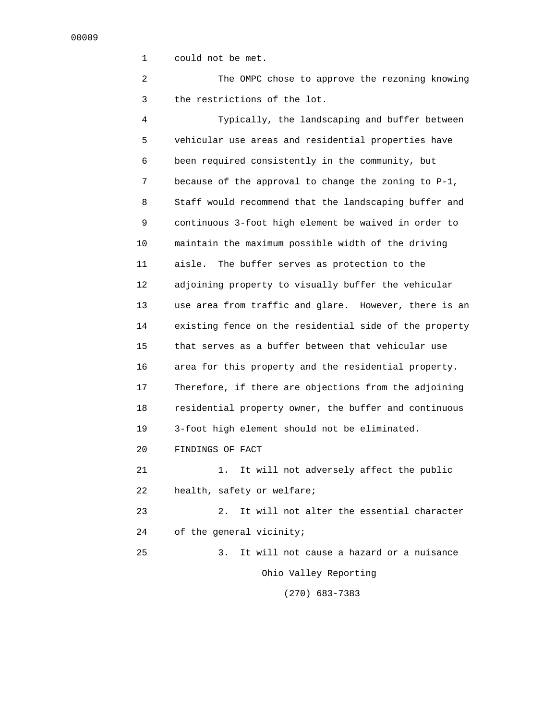1 could not be met.

 2 The OMPC chose to approve the rezoning knowing 3 the restrictions of the lot.

 4 Typically, the landscaping and buffer between 5 vehicular use areas and residential properties have 6 been required consistently in the community, but 7 because of the approval to change the zoning to P-1, 8 Staff would recommend that the landscaping buffer and 9 continuous 3-foot high element be waived in order to 10 maintain the maximum possible width of the driving 11 aisle. The buffer serves as protection to the 12 adjoining property to visually buffer the vehicular 13 use area from traffic and glare. However, there is an 14 existing fence on the residential side of the property 15 that serves as a buffer between that vehicular use 16 area for this property and the residential property. 17 Therefore, if there are objections from the adjoining 18 residential property owner, the buffer and continuous 19 3-foot high element should not be eliminated. 20 FINDINGS OF FACT 21 1. It will not adversely affect the public 22 health, safety or welfare; 23 2. It will not alter the essential character 24 of the general vicinity;

 25 3. It will not cause a hazard or a nuisance Ohio Valley Reporting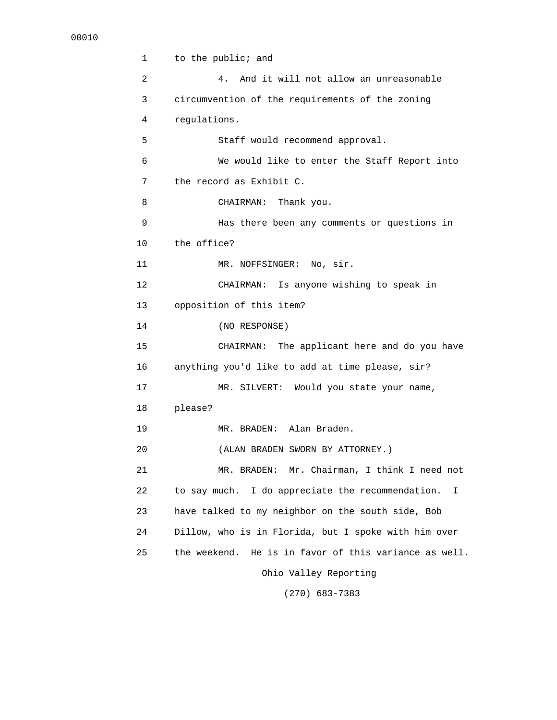```
 1 to the public; and 
 2 4. And it will not allow an unreasonable 
 3 circumvention of the requirements of the zoning 
 4 regulations. 
 5 Staff would recommend approval. 
 6 We would like to enter the Staff Report into 
 7 the record as Exhibit C. 
 8 CHAIRMAN: Thank you. 
 9 Has there been any comments or questions in 
 10 the office? 
11 MR. NOFFSINGER: No, sir.
 12 CHAIRMAN: Is anyone wishing to speak in 
 13 opposition of this item? 
 14 (NO RESPONSE) 
 15 CHAIRMAN: The applicant here and do you have 
 16 anything you'd like to add at time please, sir? 
 17 MR. SILVERT: Would you state your name, 
 18 please? 
 19 MR. BRADEN: Alan Braden. 
 20 (ALAN BRADEN SWORN BY ATTORNEY.) 
 21 MR. BRADEN: Mr. Chairman, I think I need not 
 22 to say much. I do appreciate the recommendation. I 
 23 have talked to my neighbor on the south side, Bob 
 24 Dillow, who is in Florida, but I spoke with him over 
 25 the weekend. He is in favor of this variance as well. 
                    Ohio Valley Reporting
```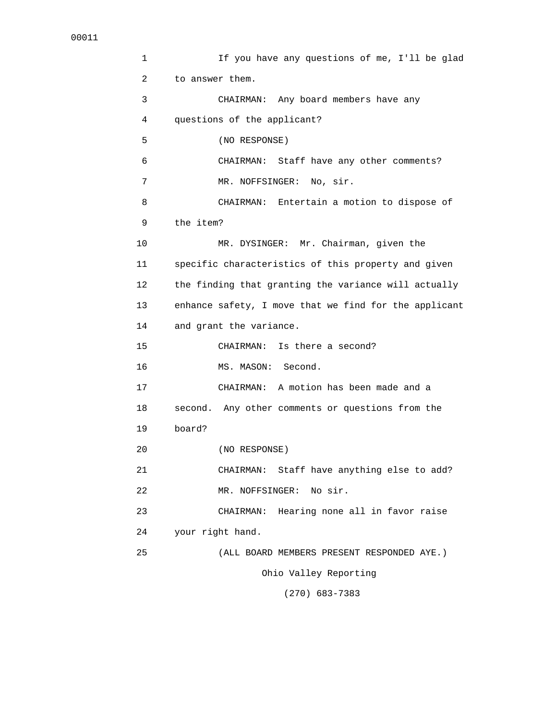1 If you have any questions of me, I'll be glad 2 to answer them. 3 CHAIRMAN: Any board members have any 4 questions of the applicant? 5 (NO RESPONSE) 6 CHAIRMAN: Staff have any other comments? 7 MR. NOFFSINGER: No, sir. 8 CHAIRMAN: Entertain a motion to dispose of 9 the item? 10 MR. DYSINGER: Mr. Chairman, given the 11 specific characteristics of this property and given 12 the finding that granting the variance will actually 13 enhance safety, I move that we find for the applicant 14 and grant the variance. 15 CHAIRMAN: Is there a second? 16 MS. MASON: Second. 17 CHAIRMAN: A motion has been made and a 18 second. Any other comments or questions from the 19 board? 20 (NO RESPONSE) 21 CHAIRMAN: Staff have anything else to add? 22 MR. NOFFSINGER: No sir. 23 CHAIRMAN: Hearing none all in favor raise 24 your right hand. 25 (ALL BOARD MEMBERS PRESENT RESPONDED AYE.) Ohio Valley Reporting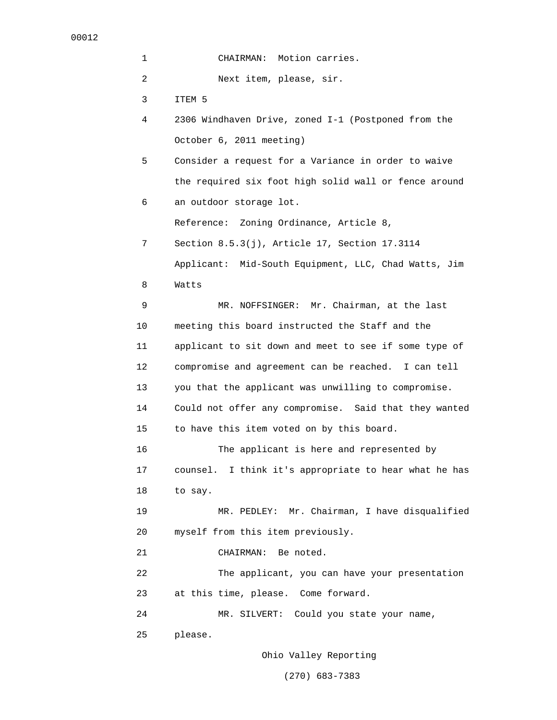| 1  | Motion carries.<br>CHAIRMAN:                             |
|----|----------------------------------------------------------|
| 2  | Next item, please, sir.                                  |
| 3  | ITEM 5                                                   |
| 4  | 2306 Windhaven Drive, zoned I-1 (Postponed from the      |
|    | October 6, 2011 meeting)                                 |
| 5  | Consider a request for a Variance in order to waive      |
|    | the required six foot high solid wall or fence around    |
| 6  | an outdoor storage lot.                                  |
|    | Reference: Zoning Ordinance, Article 8,                  |
| 7  | Section 8.5.3(j), Article 17, Section 17.3114            |
|    | Applicant: Mid-South Equipment, LLC, Chad Watts, Jim     |
| 8  | Watts                                                    |
| 9  | MR. NOFFSINGER: Mr. Chairman, at the last                |
| 10 | meeting this board instructed the Staff and the          |
| 11 | applicant to sit down and meet to see if some type of    |
| 12 | compromise and agreement can be reached. I can tell      |
| 13 | you that the applicant was unwilling to compromise.      |
| 14 | Could not offer any compromise. Said that they wanted    |
| 15 | to have this item voted on by this board.                |
| 16 | The applicant is here and represented by                 |
| 17 | I think it's appropriate to hear what he has<br>counsel. |
| 18 | to say.                                                  |
| 19 | MR. PEDLEY: Mr. Chairman, I have disqualified            |
| 20 | myself from this item previously.                        |
| 21 | Be noted.<br>CHAIRMAN:                                   |
| 22 | The applicant, you can have your presentation            |
| 23 | at this time, please. Come forward.                      |
| 24 | Could you state your name,<br>MR. SILVERT:               |
| 25 | please.                                                  |
|    |                                                          |

Ohio Valley Reporting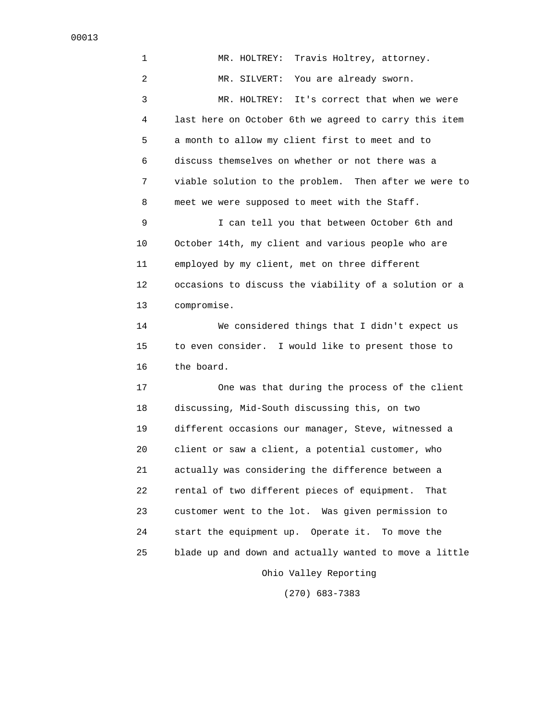1 MR. HOLTREY: Travis Holtrey, attorney. 2 MR. SILVERT: You are already sworn. 3 MR. HOLTREY: It's correct that when we were 4 last here on October 6th we agreed to carry this item 5 a month to allow my client first to meet and to 6 discuss themselves on whether or not there was a 7 viable solution to the problem. Then after we were to 8 meet we were supposed to meet with the Staff. 9 I can tell you that between October 6th and 10 October 14th, my client and various people who are 11 employed by my client, met on three different 12 occasions to discuss the viability of a solution or a 13 compromise. 14 We considered things that I didn't expect us 15 to even consider. I would like to present those to 16 the board. 17 One was that during the process of the client 18 discussing, Mid-South discussing this, on two 19 different occasions our manager, Steve, witnessed a 20 client or saw a client, a potential customer, who 21 actually was considering the difference between a 22 rental of two different pieces of equipment. That 23 customer went to the lot. Was given permission to 24 start the equipment up. Operate it. To move the 25 blade up and down and actually wanted to move a little Ohio Valley Reporting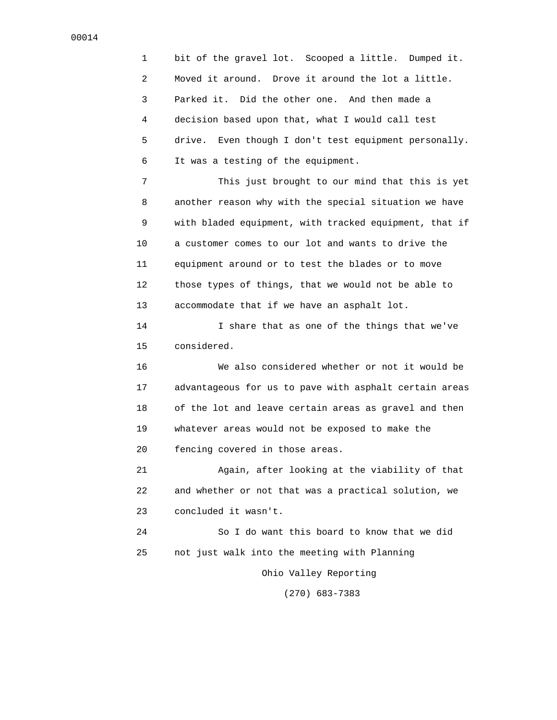1 bit of the gravel lot. Scooped a little. Dumped it. 2 Moved it around. Drove it around the lot a little. 3 Parked it. Did the other one. And then made a 4 decision based upon that, what I would call test 5 drive. Even though I don't test equipment personally. 6 It was a testing of the equipment.

 7 This just brought to our mind that this is yet 8 another reason why with the special situation we have 9 with bladed equipment, with tracked equipment, that if 10 a customer comes to our lot and wants to drive the 11 equipment around or to test the blades or to move 12 those types of things, that we would not be able to 13 accommodate that if we have an asphalt lot.

 14 I share that as one of the things that we've 15 considered.

 16 We also considered whether or not it would be 17 advantageous for us to pave with asphalt certain areas 18 of the lot and leave certain areas as gravel and then 19 whatever areas would not be exposed to make the 20 fencing covered in those areas.

 21 Again, after looking at the viability of that 22 and whether or not that was a practical solution, we 23 concluded it wasn't.

 24 So I do want this board to know that we did 25 not just walk into the meeting with Planning

Ohio Valley Reporting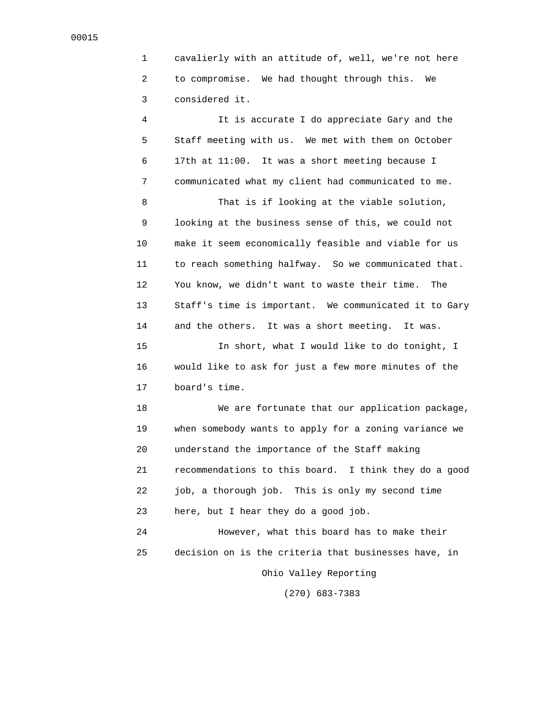1 cavalierly with an attitude of, well, we're not here 2 to compromise. We had thought through this. We 3 considered it.

 4 It is accurate I do appreciate Gary and the 5 Staff meeting with us. We met with them on October 6 17th at 11:00. It was a short meeting because I 7 communicated what my client had communicated to me.

 8 That is if looking at the viable solution, 9 looking at the business sense of this, we could not 10 make it seem economically feasible and viable for us 11 to reach something halfway. So we communicated that. 12 You know, we didn't want to waste their time. The 13 Staff's time is important. We communicated it to Gary 14 and the others. It was a short meeting. It was.

 15 In short, what I would like to do tonight, I 16 would like to ask for just a few more minutes of the 17 board's time.

 18 We are fortunate that our application package, 19 when somebody wants to apply for a zoning variance we 20 understand the importance of the Staff making 21 recommendations to this board. I think they do a good 22 job, a thorough job. This is only my second time 23 here, but I hear they do a good job.

 24 However, what this board has to make their 25 decision on is the criteria that businesses have, in Ohio Valley Reporting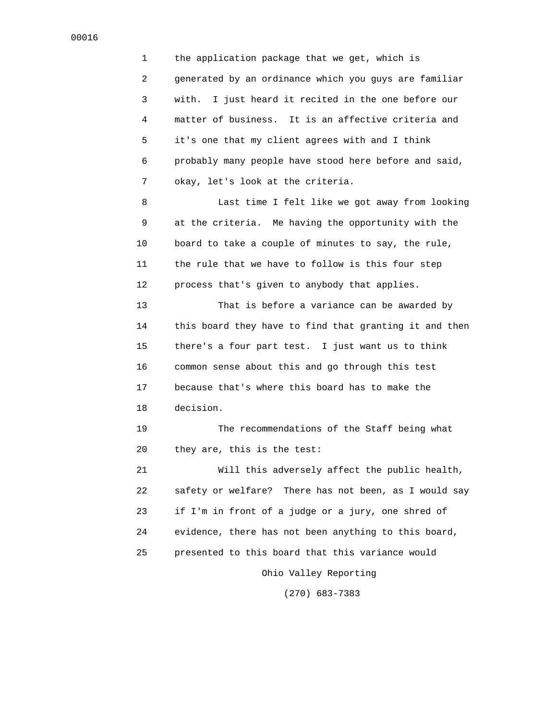1 the application package that we get, which is 2 generated by an ordinance which you guys are familiar 3 with. I just heard it recited in the one before our 4 matter of business. It is an affective criteria and 5 it's one that my client agrees with and I think 6 probably many people have stood here before and said, 7 okay, let's look at the criteria.

 8 Last time I felt like we got away from looking 9 at the criteria. Me having the opportunity with the 10 board to take a couple of minutes to say, the rule, 11 the rule that we have to follow is this four step 12 process that's given to anybody that applies.

 13 That is before a variance can be awarded by 14 this board they have to find that granting it and then 15 there's a four part test. I just want us to think 16 common sense about this and go through this test 17 because that's where this board has to make the 18 decision.

 19 The recommendations of the Staff being what 20 they are, this is the test:

 21 Will this adversely affect the public health, 22 safety or welfare? There has not been, as I would say 23 if I'm in front of a judge or a jury, one shred of 24 evidence, there has not been anything to this board, 25 presented to this board that this variance would Ohio Valley Reporting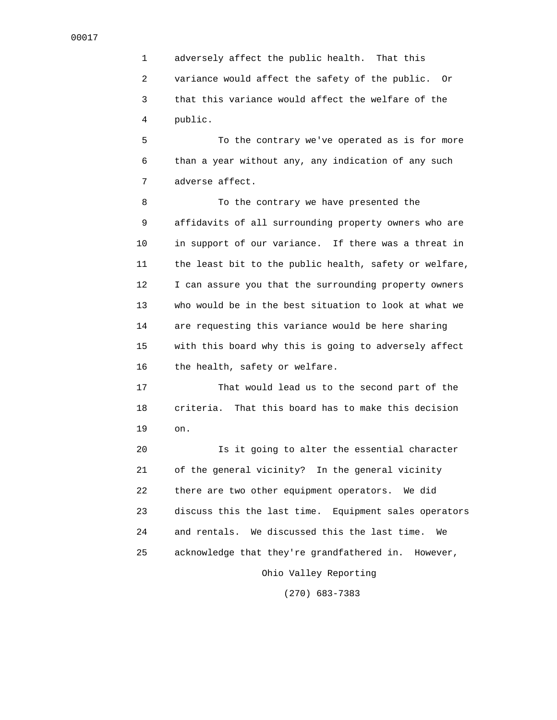1 adversely affect the public health. That this 2 variance would affect the safety of the public. Or 3 that this variance would affect the welfare of the 4 public.

 5 To the contrary we've operated as is for more 6 than a year without any, any indication of any such 7 adverse affect.

8 To the contrary we have presented the 9 affidavits of all surrounding property owners who are 10 in support of our variance. If there was a threat in 11 the least bit to the public health, safety or welfare, 12 I can assure you that the surrounding property owners 13 who would be in the best situation to look at what we 14 are requesting this variance would be here sharing 15 with this board why this is going to adversely affect 16 the health, safety or welfare.

 17 That would lead us to the second part of the 18 criteria. That this board has to make this decision 19 on.

 20 Is it going to alter the essential character 21 of the general vicinity? In the general vicinity 22 there are two other equipment operators. We did 23 discuss this the last time. Equipment sales operators 24 and rentals. We discussed this the last time. We 25 acknowledge that they're grandfathered in. However,

Ohio Valley Reporting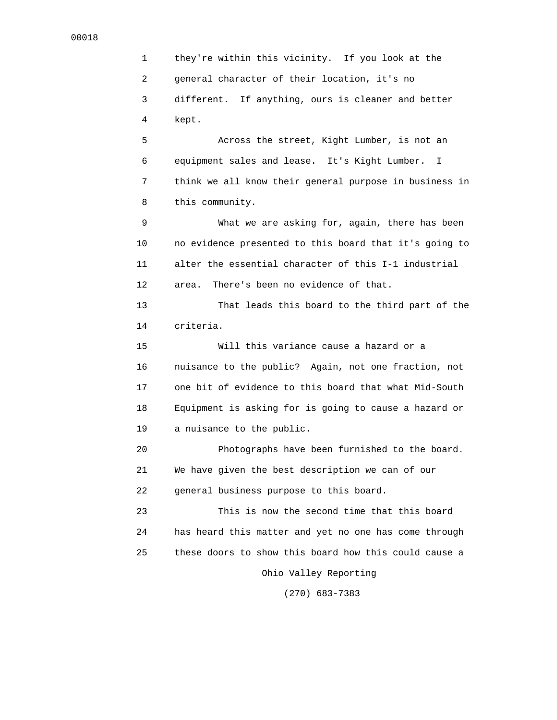1 they're within this vicinity. If you look at the 2 general character of their location, it's no 3 different. If anything, ours is cleaner and better 4 kept.

 5 Across the street, Kight Lumber, is not an 6 equipment sales and lease. It's Kight Lumber. I 7 think we all know their general purpose in business in 8 this community.

 9 What we are asking for, again, there has been 10 no evidence presented to this board that it's going to 11 alter the essential character of this I-1 industrial 12 area. There's been no evidence of that.

 13 That leads this board to the third part of the 14 criteria.

 15 Will this variance cause a hazard or a 16 nuisance to the public? Again, not one fraction, not 17 one bit of evidence to this board that what Mid-South 18 Equipment is asking for is going to cause a hazard or 19 a nuisance to the public.

 20 Photographs have been furnished to the board. 21 We have given the best description we can of our 22 general business purpose to this board.

 23 This is now the second time that this board 24 has heard this matter and yet no one has come through 25 these doors to show this board how this could cause a

Ohio Valley Reporting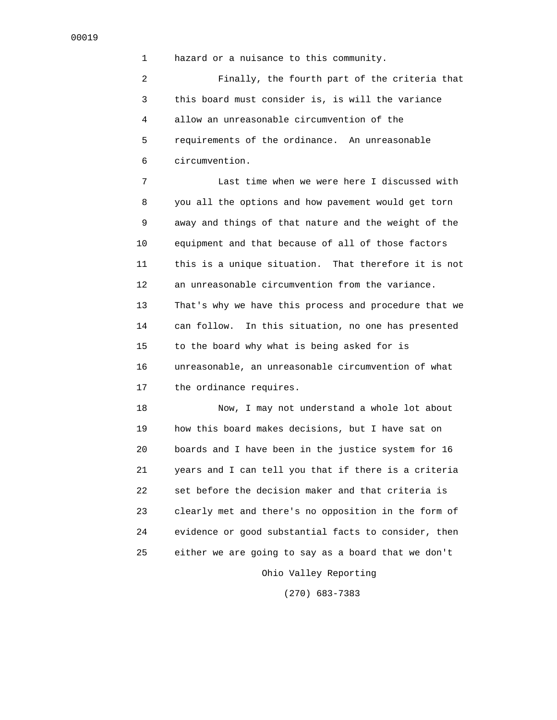1 hazard or a nuisance to this community.

 2 Finally, the fourth part of the criteria that 3 this board must consider is, is will the variance 4 allow an unreasonable circumvention of the 5 requirements of the ordinance. An unreasonable 6 circumvention.

 7 Last time when we were here I discussed with 8 you all the options and how pavement would get torn 9 away and things of that nature and the weight of the 10 equipment and that because of all of those factors 11 this is a unique situation. That therefore it is not 12 an unreasonable circumvention from the variance. 13 That's why we have this process and procedure that we 14 can follow. In this situation, no one has presented 15 to the board why what is being asked for is 16 unreasonable, an unreasonable circumvention of what 17 the ordinance requires.

 18 Now, I may not understand a whole lot about 19 how this board makes decisions, but I have sat on 20 boards and I have been in the justice system for 16 21 years and I can tell you that if there is a criteria 22 set before the decision maker and that criteria is 23 clearly met and there's no opposition in the form of 24 evidence or good substantial facts to consider, then 25 either we are going to say as a board that we don't

Ohio Valley Reporting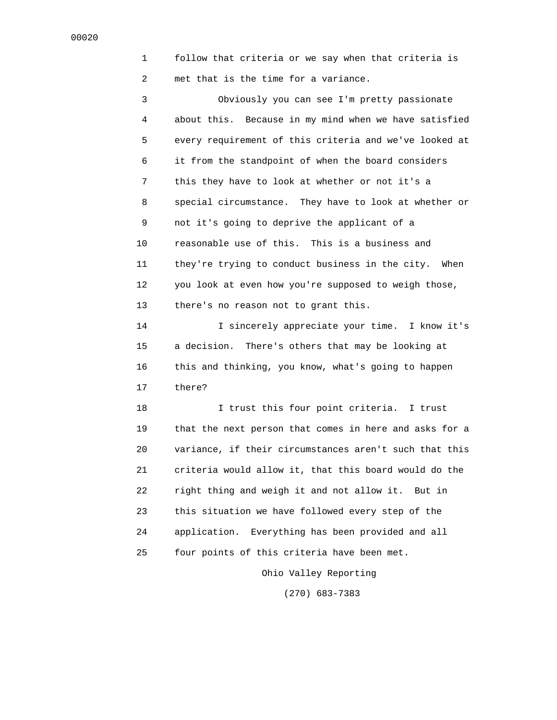1 follow that criteria or we say when that criteria is 2 met that is the time for a variance.

 3 Obviously you can see I'm pretty passionate 4 about this. Because in my mind when we have satisfied 5 every requirement of this criteria and we've looked at 6 it from the standpoint of when the board considers 7 this they have to look at whether or not it's a 8 special circumstance. They have to look at whether or 9 not it's going to deprive the applicant of a 10 reasonable use of this. This is a business and 11 they're trying to conduct business in the city. When 12 you look at even how you're supposed to weigh those, 13 there's no reason not to grant this.

 14 I sincerely appreciate your time. I know it's 15 a decision. There's others that may be looking at 16 this and thinking, you know, what's going to happen 17 there?

 18 I trust this four point criteria. I trust 19 that the next person that comes in here and asks for a 20 variance, if their circumstances aren't such that this 21 criteria would allow it, that this board would do the 22 right thing and weigh it and not allow it. But in 23 this situation we have followed every step of the 24 application. Everything has been provided and all 25 four points of this criteria have been met.

Ohio Valley Reporting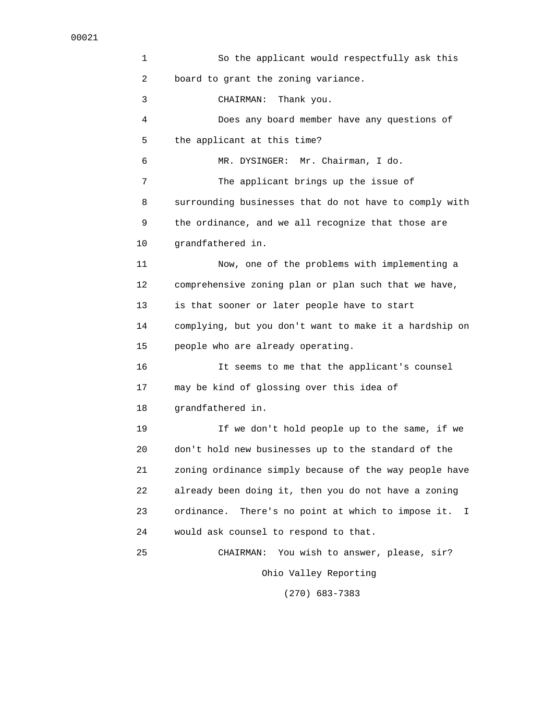1 So the applicant would respectfully ask this 2 board to grant the zoning variance. 3 CHAIRMAN: Thank you. 4 Does any board member have any questions of 5 the applicant at this time? 6 MR. DYSINGER: Mr. Chairman, I do. 7 The applicant brings up the issue of 8 surrounding businesses that do not have to comply with 9 the ordinance, and we all recognize that those are 10 grandfathered in. 11 Now, one of the problems with implementing a 12 comprehensive zoning plan or plan such that we have, 13 is that sooner or later people have to start 14 complying, but you don't want to make it a hardship on 15 people who are already operating. 16 It seems to me that the applicant's counsel 17 may be kind of glossing over this idea of 18 grandfathered in. 19 If we don't hold people up to the same, if we 20 don't hold new businesses up to the standard of the 21 zoning ordinance simply because of the way people have 22 already been doing it, then you do not have a zoning 23 ordinance. There's no point at which to impose it. I 24 would ask counsel to respond to that. 25 CHAIRMAN: You wish to answer, please, sir? Ohio Valley Reporting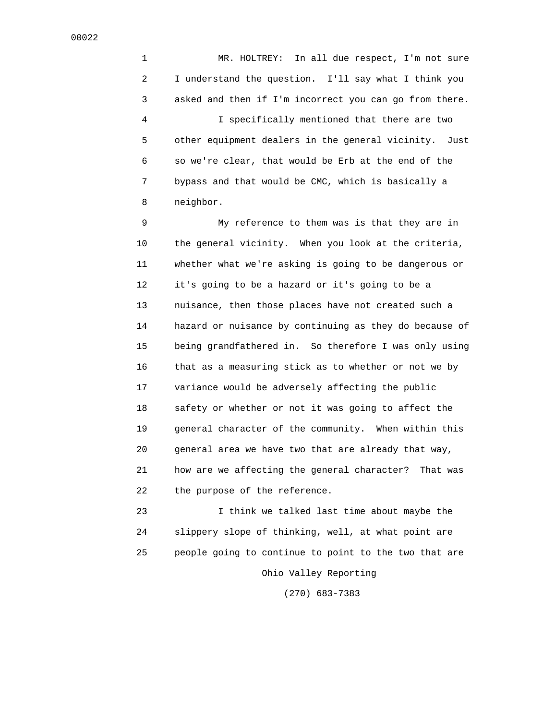1 MR. HOLTREY: In all due respect, I'm not sure 2 I understand the question. I'll say what I think you 3 asked and then if I'm incorrect you can go from there. 4 I specifically mentioned that there are two 5 other equipment dealers in the general vicinity. Just 6 so we're clear, that would be Erb at the end of the 7 bypass and that would be CMC, which is basically a 8 neighbor.

 9 My reference to them was is that they are in 10 the general vicinity. When you look at the criteria, 11 whether what we're asking is going to be dangerous or 12 it's going to be a hazard or it's going to be a 13 nuisance, then those places have not created such a 14 hazard or nuisance by continuing as they do because of 15 being grandfathered in. So therefore I was only using 16 that as a measuring stick as to whether or not we by 17 variance would be adversely affecting the public 18 safety or whether or not it was going to affect the 19 general character of the community. When within this 20 general area we have two that are already that way, 21 how are we affecting the general character? That was 22 the purpose of the reference.

 23 I think we talked last time about maybe the 24 slippery slope of thinking, well, at what point are 25 people going to continue to point to the two that are Ohio Valley Reporting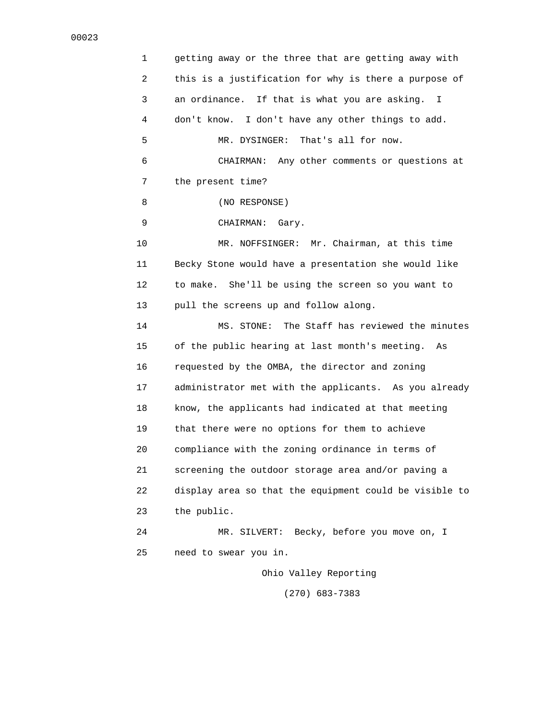1 getting away or the three that are getting away with 2 this is a justification for why is there a purpose of 3 an ordinance. If that is what you are asking. I 4 don't know. I don't have any other things to add. 5 MR. DYSINGER: That's all for now. 6 CHAIRMAN: Any other comments or questions at 7 the present time? 8 (NO RESPONSE) 9 CHAIRMAN: Gary. 10 MR. NOFFSINGER: Mr. Chairman, at this time 11 Becky Stone would have a presentation she would like 12 to make. She'll be using the screen so you want to 13 pull the screens up and follow along. 14 MS. STONE: The Staff has reviewed the minutes 15 of the public hearing at last month's meeting. As 16 requested by the OMBA, the director and zoning 17 administrator met with the applicants. As you already 18 know, the applicants had indicated at that meeting 19 that there were no options for them to achieve 20 compliance with the zoning ordinance in terms of 21 screening the outdoor storage area and/or paving a 22 display area so that the equipment could be visible to 23 the public. 24 MR. SILVERT: Becky, before you move on, I 25 need to swear you in. Ohio Valley Reporting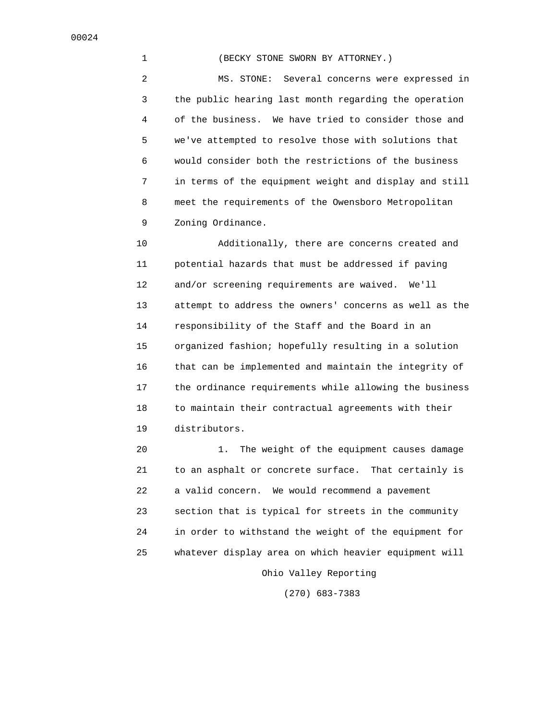1 (BECKY STONE SWORN BY ATTORNEY.)

 2 MS. STONE: Several concerns were expressed in 3 the public hearing last month regarding the operation 4 of the business. We have tried to consider those and 5 we've attempted to resolve those with solutions that 6 would consider both the restrictions of the business 7 in terms of the equipment weight and display and still 8 meet the requirements of the Owensboro Metropolitan 9 Zoning Ordinance.

 10 Additionally, there are concerns created and 11 potential hazards that must be addressed if paving 12 and/or screening requirements are waived. We'll 13 attempt to address the owners' concerns as well as the 14 responsibility of the Staff and the Board in an 15 organized fashion; hopefully resulting in a solution 16 that can be implemented and maintain the integrity of 17 the ordinance requirements while allowing the business 18 to maintain their contractual agreements with their 19 distributors.

 20 1. The weight of the equipment causes damage 21 to an asphalt or concrete surface. That certainly is 22 a valid concern. We would recommend a pavement 23 section that is typical for streets in the community 24 in order to withstand the weight of the equipment for 25 whatever display area on which heavier equipment will Ohio Valley Reporting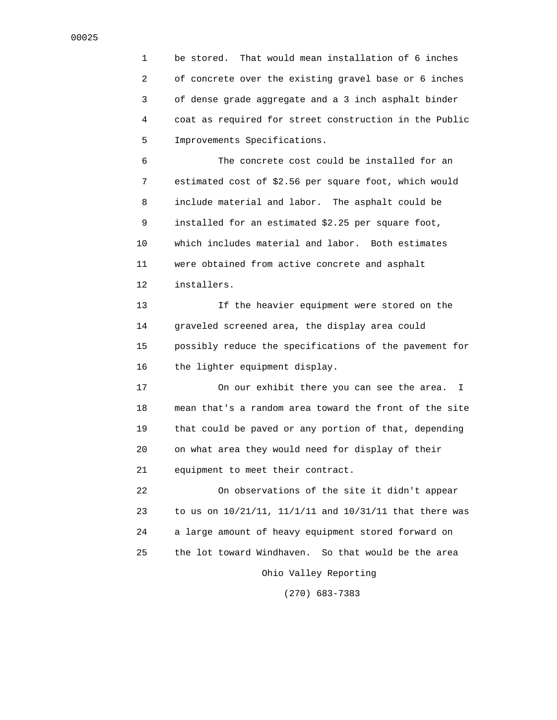1 be stored. That would mean installation of 6 inches 2 of concrete over the existing gravel base or 6 inches 3 of dense grade aggregate and a 3 inch asphalt binder 4 coat as required for street construction in the Public 5 Improvements Specifications.

 6 The concrete cost could be installed for an 7 estimated cost of \$2.56 per square foot, which would 8 include material and labor. The asphalt could be 9 installed for an estimated \$2.25 per square foot, 10 which includes material and labor. Both estimates 11 were obtained from active concrete and asphalt 12 installers.

 13 If the heavier equipment were stored on the 14 graveled screened area, the display area could 15 possibly reduce the specifications of the pavement for 16 the lighter equipment display.

 17 On our exhibit there you can see the area. I 18 mean that's a random area toward the front of the site 19 that could be paved or any portion of that, depending 20 on what area they would need for display of their 21 equipment to meet their contract.

 22 On observations of the site it didn't appear 23 to us on 10/21/11, 11/1/11 and 10/31/11 that there was 24 a large amount of heavy equipment stored forward on 25 the lot toward Windhaven. So that would be the area Ohio Valley Reporting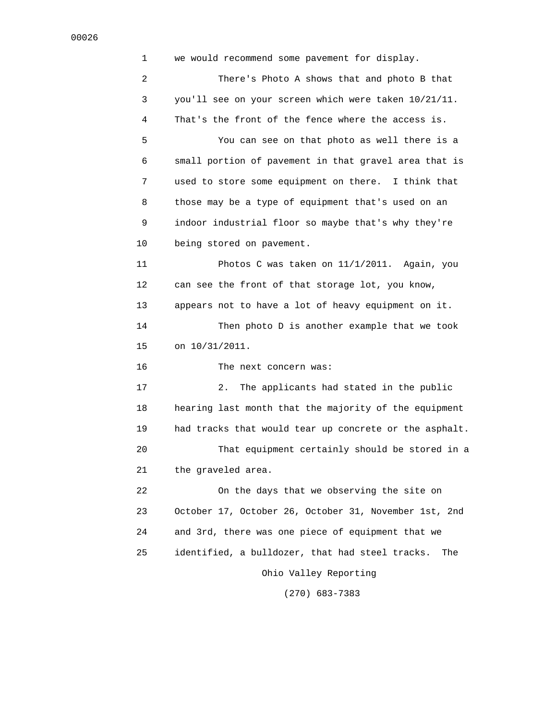1 we would recommend some pavement for display. 2 There's Photo A shows that and photo B that 3 you'll see on your screen which were taken 10/21/11. 4 That's the front of the fence where the access is. 5 You can see on that photo as well there is a 6 small portion of pavement in that gravel area that is 7 used to store some equipment on there. I think that 8 those may be a type of equipment that's used on an 9 indoor industrial floor so maybe that's why they're 10 being stored on pavement. 11 Photos C was taken on 11/1/2011. Again, you 12 can see the front of that storage lot, you know, 13 appears not to have a lot of heavy equipment on it. 14 Then photo D is another example that we took 15 on 10/31/2011. 16 The next concern was: 17 2. The applicants had stated in the public 18 hearing last month that the majority of the equipment 19 had tracks that would tear up concrete or the asphalt. 20 That equipment certainly should be stored in a 21 the graveled area. 22 On the days that we observing the site on 23 October 17, October 26, October 31, November 1st, 2nd 24 and 3rd, there was one piece of equipment that we 25 identified, a bulldozer, that had steel tracks. The Ohio Valley Reporting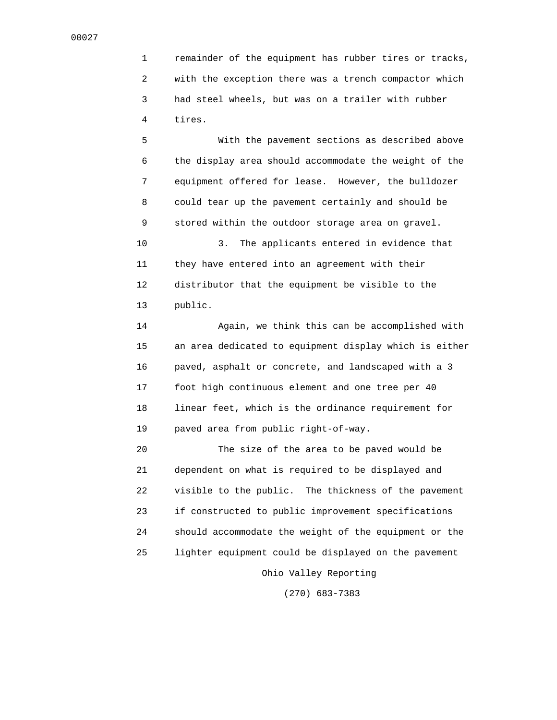1 remainder of the equipment has rubber tires or tracks, 2 with the exception there was a trench compactor which 3 had steel wheels, but was on a trailer with rubber 4 tires.

 5 With the pavement sections as described above 6 the display area should accommodate the weight of the 7 equipment offered for lease. However, the bulldozer 8 could tear up the pavement certainly and should be 9 stored within the outdoor storage area on gravel. 10 3. The applicants entered in evidence that 11 they have entered into an agreement with their 12 distributor that the equipment be visible to the

13 public.

 14 Again, we think this can be accomplished with 15 an area dedicated to equipment display which is either 16 paved, asphalt or concrete, and landscaped with a 3 17 foot high continuous element and one tree per 40 18 linear feet, which is the ordinance requirement for 19 paved area from public right-of-way.

 20 The size of the area to be paved would be 21 dependent on what is required to be displayed and 22 visible to the public. The thickness of the pavement 23 if constructed to public improvement specifications 24 should accommodate the weight of the equipment or the 25 lighter equipment could be displayed on the pavement Ohio Valley Reporting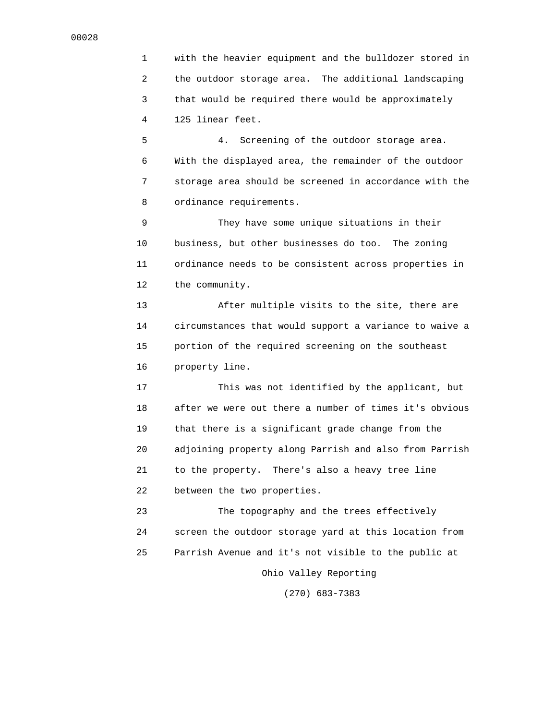1 with the heavier equipment and the bulldozer stored in 2 the outdoor storage area. The additional landscaping 3 that would be required there would be approximately 4 125 linear feet.

 5 4. Screening of the outdoor storage area. 6 With the displayed area, the remainder of the outdoor 7 storage area should be screened in accordance with the 8 ordinance requirements.

 9 They have some unique situations in their 10 business, but other businesses do too. The zoning 11 ordinance needs to be consistent across properties in 12 the community.

 13 After multiple visits to the site, there are 14 circumstances that would support a variance to waive a 15 portion of the required screening on the southeast 16 property line.

 17 This was not identified by the applicant, but 18 after we were out there a number of times it's obvious 19 that there is a significant grade change from the 20 adjoining property along Parrish and also from Parrish 21 to the property. There's also a heavy tree line 22 between the two properties.

 23 The topography and the trees effectively 24 screen the outdoor storage yard at this location from 25 Parrish Avenue and it's not visible to the public at Ohio Valley Reporting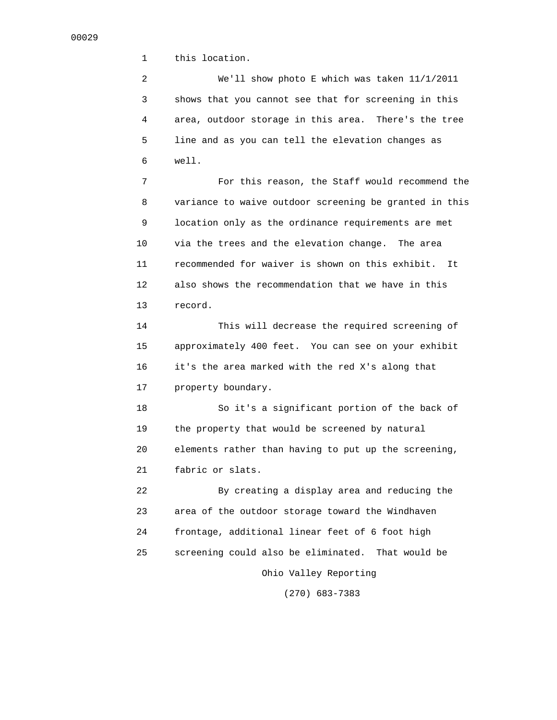1 this location.

 2 We'll show photo E which was taken 11/1/2011 3 shows that you cannot see that for screening in this 4 area, outdoor storage in this area. There's the tree 5 line and as you can tell the elevation changes as 6 well.

 7 For this reason, the Staff would recommend the 8 variance to waive outdoor screening be granted in this 9 location only as the ordinance requirements are met 10 via the trees and the elevation change. The area 11 recommended for waiver is shown on this exhibit. It 12 also shows the recommendation that we have in this 13 record.

 14 This will decrease the required screening of 15 approximately 400 feet. You can see on your exhibit 16 it's the area marked with the red X's along that 17 property boundary.

 18 So it's a significant portion of the back of 19 the property that would be screened by natural 20 elements rather than having to put up the screening, 21 fabric or slats.

 22 By creating a display area and reducing the 23 area of the outdoor storage toward the Windhaven 24 frontage, additional linear feet of 6 foot high 25 screening could also be eliminated. That would be Ohio Valley Reporting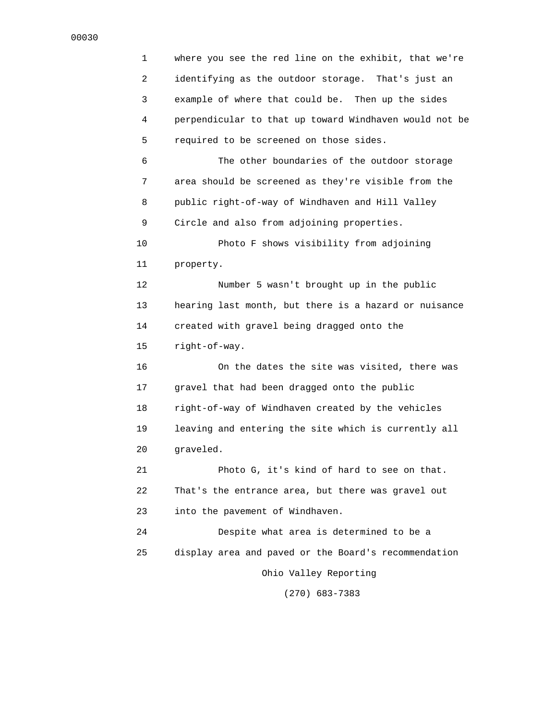1 where you see the red line on the exhibit, that we're 2 identifying as the outdoor storage. That's just an 3 example of where that could be. Then up the sides 4 perpendicular to that up toward Windhaven would not be 5 required to be screened on those sides. 6 The other boundaries of the outdoor storage 7 area should be screened as they're visible from the 8 public right-of-way of Windhaven and Hill Valley 9 Circle and also from adjoining properties. 10 Photo F shows visibility from adjoining 11 property. 12 Number 5 wasn't brought up in the public 13 hearing last month, but there is a hazard or nuisance 14 created with gravel being dragged onto the 15 right-of-way. 16 On the dates the site was visited, there was 17 gravel that had been dragged onto the public 18 right-of-way of Windhaven created by the vehicles 19 leaving and entering the site which is currently all 20 graveled. 21 Photo G, it's kind of hard to see on that. 22 That's the entrance area, but there was gravel out 23 into the pavement of Windhaven. 24 Despite what area is determined to be a 25 display area and paved or the Board's recommendation Ohio Valley Reporting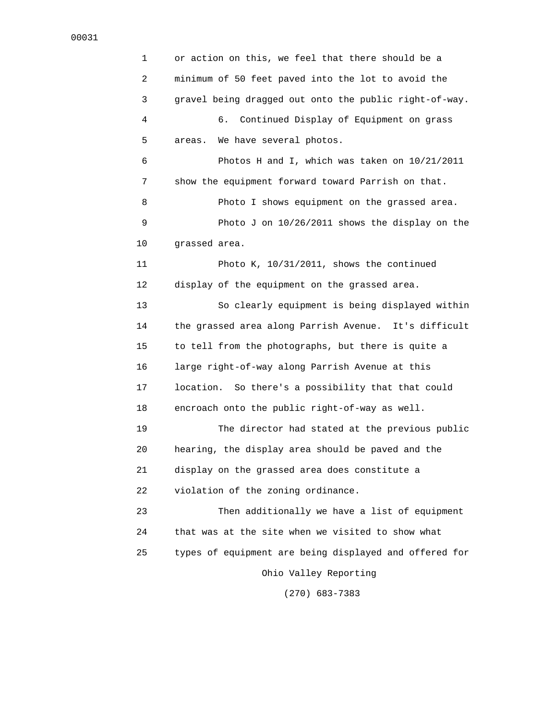1 or action on this, we feel that there should be a 2 minimum of 50 feet paved into the lot to avoid the 3 gravel being dragged out onto the public right-of-way. 4 6. Continued Display of Equipment on grass 5 areas. We have several photos. 6 Photos H and I, which was taken on 10/21/2011 7 show the equipment forward toward Parrish on that. 8 Photo I shows equipment on the grassed area. 9 Photo J on 10/26/2011 shows the display on the 10 grassed area. 11 Photo K, 10/31/2011, shows the continued 12 display of the equipment on the grassed area. 13 So clearly equipment is being displayed within 14 the grassed area along Parrish Avenue. It's difficult 15 to tell from the photographs, but there is quite a 16 large right-of-way along Parrish Avenue at this 17 location. So there's a possibility that that could 18 encroach onto the public right-of-way as well. 19 The director had stated at the previous public 20 hearing, the display area should be paved and the 21 display on the grassed area does constitute a 22 violation of the zoning ordinance. 23 Then additionally we have a list of equipment 24 that was at the site when we visited to show what 25 types of equipment are being displayed and offered for Ohio Valley Reporting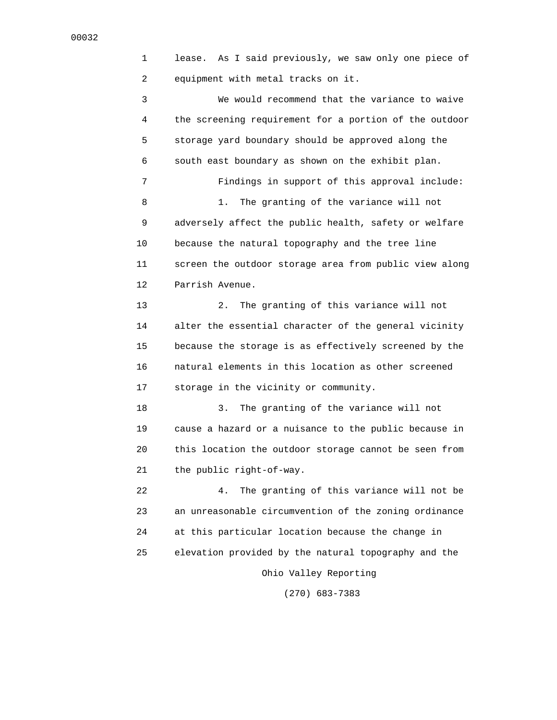1 lease. As I said previously, we saw only one piece of 2 equipment with metal tracks on it. 3 We would recommend that the variance to waive 4 the screening requirement for a portion of the outdoor 5 storage yard boundary should be approved along the 6 south east boundary as shown on the exhibit plan. 7 Findings in support of this approval include: 8 1. The granting of the variance will not 9 adversely affect the public health, safety or welfare 10 because the natural topography and the tree line 11 screen the outdoor storage area from public view along 12 Parrish Avenue. 13 2. The granting of this variance will not 14 alter the essential character of the general vicinity 15 because the storage is as effectively screened by the 16 natural elements in this location as other screened 17 storage in the vicinity or community. 18 3. The granting of the variance will not 19 cause a hazard or a nuisance to the public because in 20 this location the outdoor storage cannot be seen from 21 the public right-of-way. 22 4. The granting of this variance will not be 23 an unreasonable circumvention of the zoning ordinance 24 at this particular location because the change in 25 elevation provided by the natural topography and the

Ohio Valley Reporting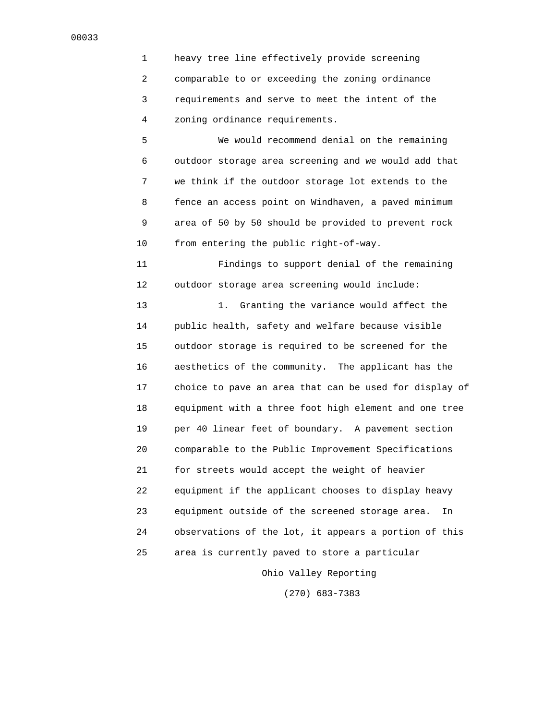1 heavy tree line effectively provide screening 2 comparable to or exceeding the zoning ordinance 3 requirements and serve to meet the intent of the 4 zoning ordinance requirements.

 5 We would recommend denial on the remaining 6 outdoor storage area screening and we would add that 7 we think if the outdoor storage lot extends to the 8 fence an access point on Windhaven, a paved minimum 9 area of 50 by 50 should be provided to prevent rock 10 from entering the public right-of-way.

 11 Findings to support denial of the remaining 12 outdoor storage area screening would include:

13 1. Granting the variance would affect the 14 public health, safety and welfare because visible 15 outdoor storage is required to be screened for the 16 aesthetics of the community. The applicant has the 17 choice to pave an area that can be used for display of 18 equipment with a three foot high element and one tree 19 per 40 linear feet of boundary. A pavement section 20 comparable to the Public Improvement Specifications 21 for streets would accept the weight of heavier 22 equipment if the applicant chooses to display heavy 23 equipment outside of the screened storage area. In 24 observations of the lot, it appears a portion of this 25 area is currently paved to store a particular

Ohio Valley Reporting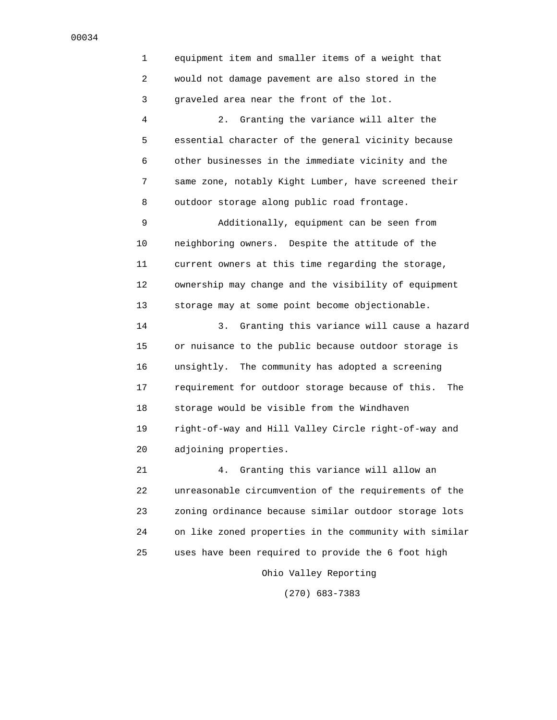1 equipment item and smaller items of a weight that 2 would not damage pavement are also stored in the 3 graveled area near the front of the lot. 4 2. Granting the variance will alter the 5 essential character of the general vicinity because 6 other businesses in the immediate vicinity and the 7 same zone, notably Kight Lumber, have screened their 8 outdoor storage along public road frontage. 9 Additionally, equipment can be seen from 10 neighboring owners. Despite the attitude of the 11 current owners at this time regarding the storage, 12 ownership may change and the visibility of equipment 13 storage may at some point become objectionable. 14 3. Granting this variance will cause a hazard 15 or nuisance to the public because outdoor storage is 16 unsightly. The community has adopted a screening 17 requirement for outdoor storage because of this. The 18 storage would be visible from the Windhaven 19 right-of-way and Hill Valley Circle right-of-way and 20 adjoining properties. 21 4. Granting this variance will allow an 22 unreasonable circumvention of the requirements of the 23 zoning ordinance because similar outdoor storage lots 24 on like zoned properties in the community with similar

Ohio Valley Reporting

25 uses have been required to provide the 6 foot high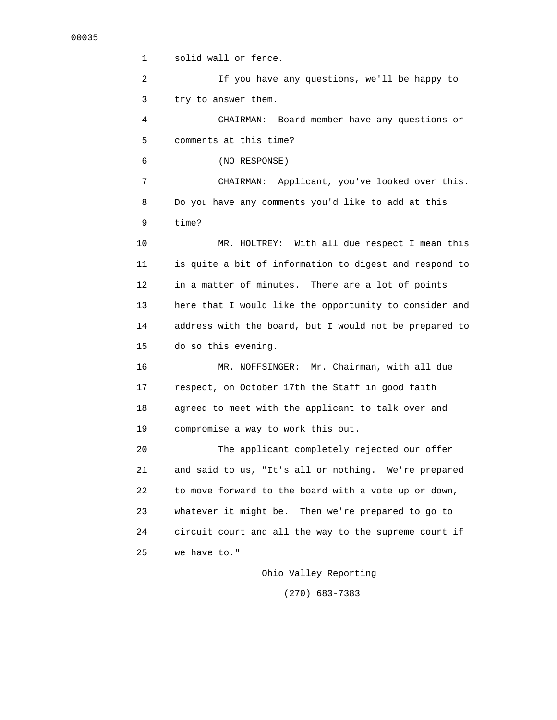1 solid wall or fence. 2 If you have any questions, we'll be happy to 3 try to answer them. 4 CHAIRMAN: Board member have any questions or 5 comments at this time? 6 (NO RESPONSE) 7 CHAIRMAN: Applicant, you've looked over this. 8 Do you have any comments you'd like to add at this 9 time? 10 MR. HOLTREY: With all due respect I mean this 11 is quite a bit of information to digest and respond to 12 in a matter of minutes. There are a lot of points 13 here that I would like the opportunity to consider and 14 address with the board, but I would not be prepared to 15 do so this evening. 16 MR. NOFFSINGER: Mr. Chairman, with all due 17 respect, on October 17th the Staff in good faith 18 agreed to meet with the applicant to talk over and 19 compromise a way to work this out. 20 The applicant completely rejected our offer 21 and said to us, "It's all or nothing. We're prepared 22 to move forward to the board with a vote up or down, 23 whatever it might be. Then we're prepared to go to 24 circuit court and all the way to the supreme court if 25 we have to."

Ohio Valley Reporting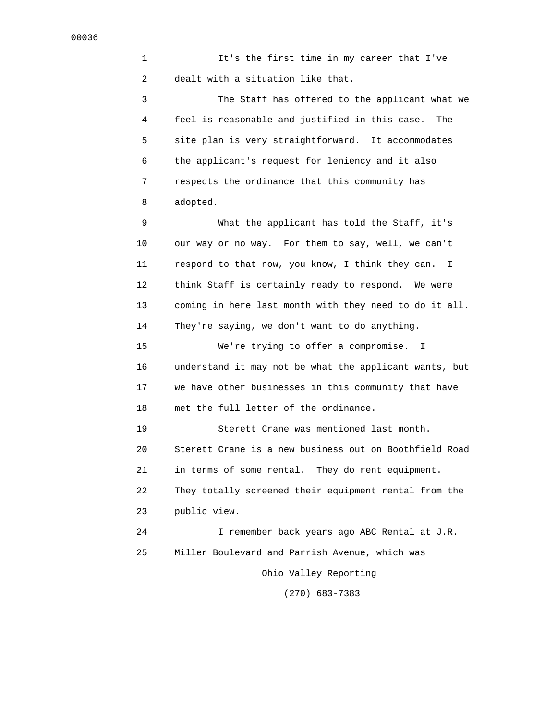1 It's the first time in my career that I've 2 dealt with a situation like that.

 3 The Staff has offered to the applicant what we 4 feel is reasonable and justified in this case. The 5 site plan is very straightforward. It accommodates 6 the applicant's request for leniency and it also 7 respects the ordinance that this community has 8 adopted.

 9 What the applicant has told the Staff, it's 10 our way or no way. For them to say, well, we can't 11 respond to that now, you know, I think they can. I 12 think Staff is certainly ready to respond. We were 13 coming in here last month with they need to do it all. 14 They're saying, we don't want to do anything.

 15 We're trying to offer a compromise. I 16 understand it may not be what the applicant wants, but 17 we have other businesses in this community that have 18 met the full letter of the ordinance.

 19 Sterett Crane was mentioned last month. 20 Sterett Crane is a new business out on Boothfield Road 21 in terms of some rental. They do rent equipment. 22 They totally screened their equipment rental from the 23 public view. 24 I remember back years ago ABC Rental at J.R.

25 Miller Boulevard and Parrish Avenue, which was

Ohio Valley Reporting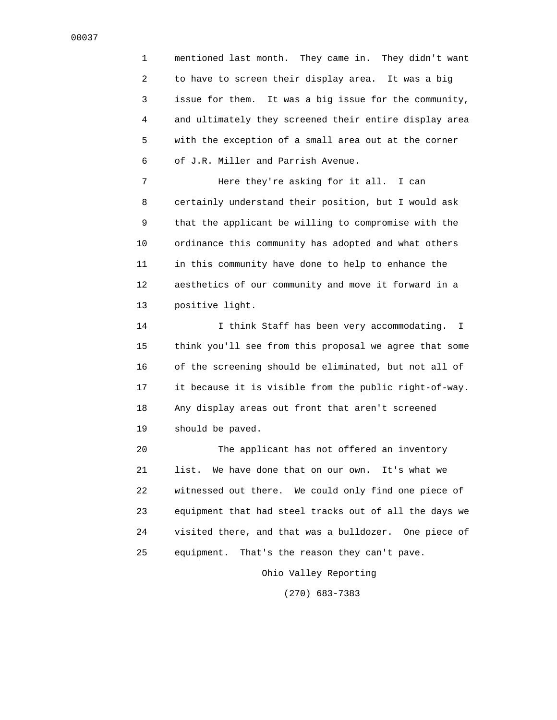1 mentioned last month. They came in. They didn't want 2 to have to screen their display area. It was a big 3 issue for them. It was a big issue for the community, 4 and ultimately they screened their entire display area 5 with the exception of a small area out at the corner 6 of J.R. Miller and Parrish Avenue.

 7 Here they're asking for it all. I can 8 certainly understand their position, but I would ask 9 that the applicant be willing to compromise with the 10 ordinance this community has adopted and what others 11 in this community have done to help to enhance the 12 aesthetics of our community and move it forward in a 13 positive light.

 14 I think Staff has been very accommodating. I 15 think you'll see from this proposal we agree that some 16 of the screening should be eliminated, but not all of 17 it because it is visible from the public right-of-way. 18 Any display areas out front that aren't screened 19 should be paved.

 20 The applicant has not offered an inventory 21 list. We have done that on our own. It's what we 22 witnessed out there. We could only find one piece of 23 equipment that had steel tracks out of all the days we 24 visited there, and that was a bulldozer. One piece of 25 equipment. That's the reason they can't pave.

Ohio Valley Reporting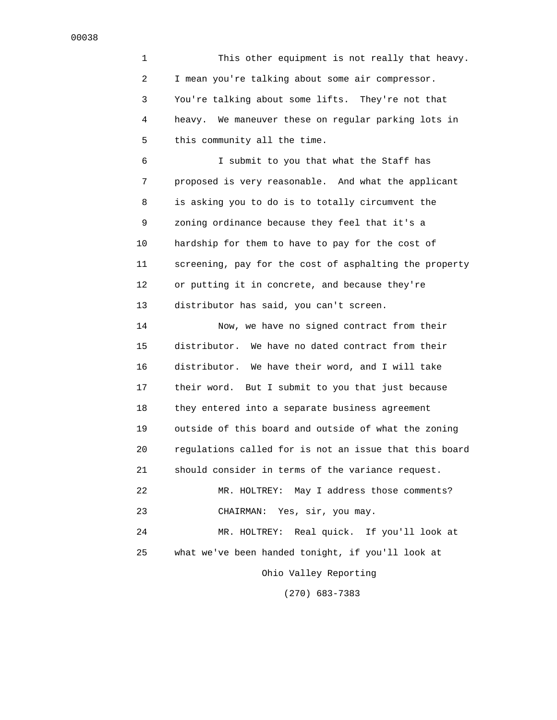1 This other equipment is not really that heavy. 2 I mean you're talking about some air compressor. 3 You're talking about some lifts. They're not that 4 heavy. We maneuver these on regular parking lots in 5 this community all the time.

 6 I submit to you that what the Staff has 7 proposed is very reasonable. And what the applicant 8 is asking you to do is to totally circumvent the 9 zoning ordinance because they feel that it's a 10 hardship for them to have to pay for the cost of 11 screening, pay for the cost of asphalting the property 12 or putting it in concrete, and because they're 13 distributor has said, you can't screen.

 14 Now, we have no signed contract from their 15 distributor. We have no dated contract from their 16 distributor. We have their word, and I will take 17 their word. But I submit to you that just because 18 they entered into a separate business agreement 19 outside of this board and outside of what the zoning 20 regulations called for is not an issue that this board 21 should consider in terms of the variance request. 22 MR. HOLTREY: May I address those comments? 23 CHAIRMAN: Yes, sir, you may. 24 MR. HOLTREY: Real quick. If you'll look at 25 what we've been handed tonight, if you'll look at Ohio Valley Reporting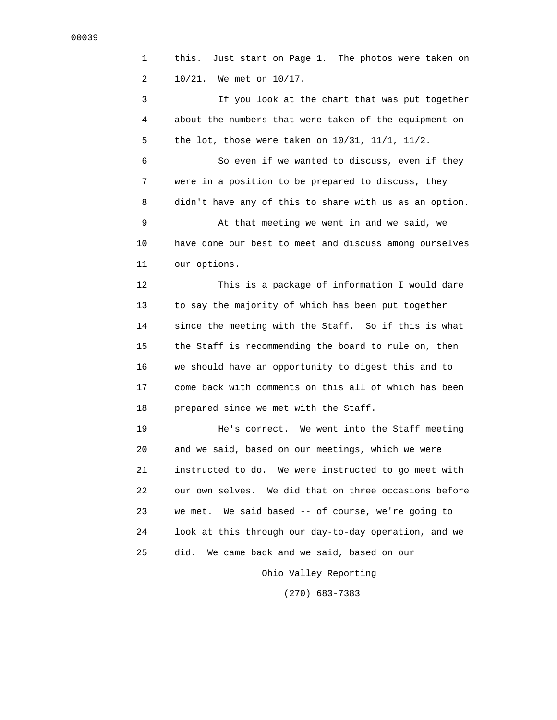1 this. Just start on Page 1. The photos were taken on 2 10/21. We met on 10/17.

 3 If you look at the chart that was put together 4 about the numbers that were taken of the equipment on 5 the lot, those were taken on 10/31, 11/1, 11/2.

 6 So even if we wanted to discuss, even if they 7 were in a position to be prepared to discuss, they 8 didn't have any of this to share with us as an option.

 9 At that meeting we went in and we said, we 10 have done our best to meet and discuss among ourselves 11 our options.

 12 This is a package of information I would dare 13 to say the majority of which has been put together 14 since the meeting with the Staff. So if this is what 15 the Staff is recommending the board to rule on, then 16 we should have an opportunity to digest this and to 17 come back with comments on this all of which has been 18 prepared since we met with the Staff.

 19 He's correct. We went into the Staff meeting 20 and we said, based on our meetings, which we were 21 instructed to do. We were instructed to go meet with 22 our own selves. We did that on three occasions before 23 we met. We said based -- of course, we're going to 24 look at this through our day-to-day operation, and we 25 did. We came back and we said, based on our

Ohio Valley Reporting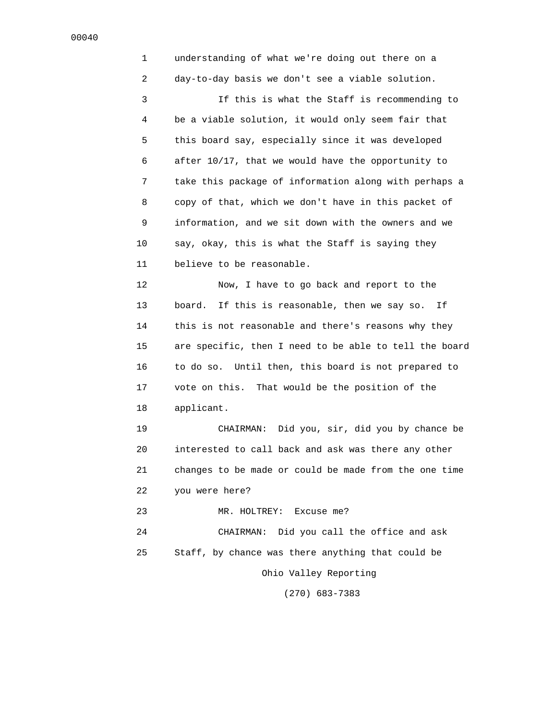1 understanding of what we're doing out there on a 2 day-to-day basis we don't see a viable solution. 3 If this is what the Staff is recommending to 4 be a viable solution, it would only seem fair that 5 this board say, especially since it was developed 6 after 10/17, that we would have the opportunity to 7 take this package of information along with perhaps a 8 copy of that, which we don't have in this packet of 9 information, and we sit down with the owners and we 10 say, okay, this is what the Staff is saying they 11 believe to be reasonable. 12 Now, I have to go back and report to the 13 board. If this is reasonable, then we say so. If 14 this is not reasonable and there's reasons why they 15 are specific, then I need to be able to tell the board 16 to do so. Until then, this board is not prepared to 17 vote on this. That would be the position of the 18 applicant. 19 CHAIRMAN: Did you, sir, did you by chance be 20 interested to call back and ask was there any other 21 changes to be made or could be made from the one time 22 you were here? 23 MR. HOLTREY: Excuse me? 24 CHAIRMAN: Did you call the office and ask 25 Staff, by chance was there anything that could be Ohio Valley Reporting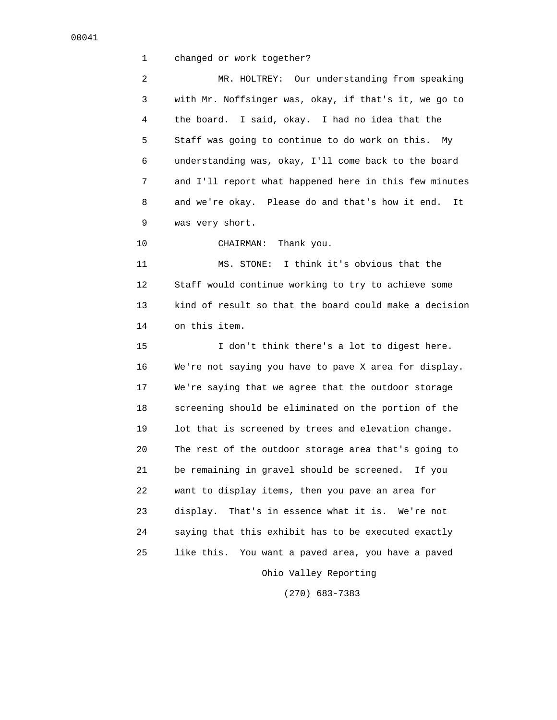1 changed or work together?

 2 MR. HOLTREY: Our understanding from speaking 3 with Mr. Noffsinger was, okay, if that's it, we go to 4 the board. I said, okay. I had no idea that the 5 Staff was going to continue to do work on this. My 6 understanding was, okay, I'll come back to the board 7 and I'll report what happened here in this few minutes 8 and we're okay. Please do and that's how it end. It 9 was very short.

10 CHAIRMAN: Thank you.

 11 MS. STONE: I think it's obvious that the 12 Staff would continue working to try to achieve some 13 kind of result so that the board could make a decision 14 on this item.

 15 I don't think there's a lot to digest here. 16 We're not saying you have to pave X area for display. 17 We're saying that we agree that the outdoor storage 18 screening should be eliminated on the portion of the 19 lot that is screened by trees and elevation change. 20 The rest of the outdoor storage area that's going to 21 be remaining in gravel should be screened. If you 22 want to display items, then you pave an area for 23 display. That's in essence what it is. We're not 24 saying that this exhibit has to be executed exactly 25 like this. You want a paved area, you have a paved Ohio Valley Reporting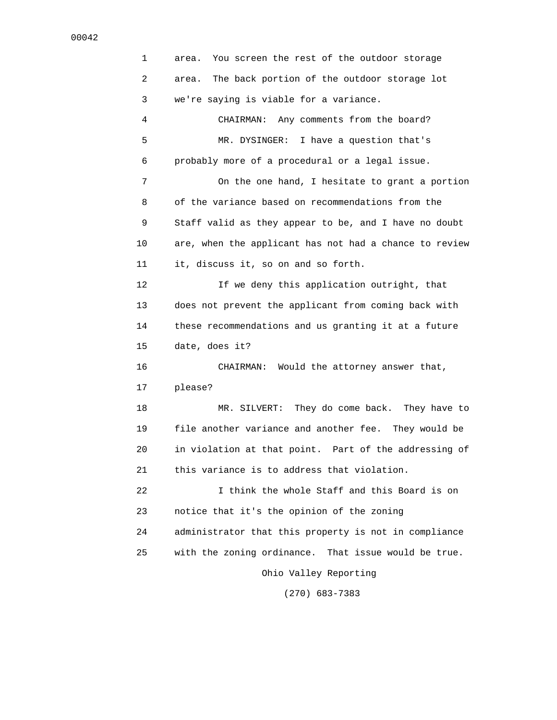1 area. You screen the rest of the outdoor storage 2 area. The back portion of the outdoor storage lot 3 we're saying is viable for a variance. 4 CHAIRMAN: Any comments from the board? 5 MR. DYSINGER: I have a question that's 6 probably more of a procedural or a legal issue. 7 On the one hand, I hesitate to grant a portion 8 of the variance based on recommendations from the 9 Staff valid as they appear to be, and I have no doubt 10 are, when the applicant has not had a chance to review 11 it, discuss it, so on and so forth. 12 If we deny this application outright, that 13 does not prevent the applicant from coming back with 14 these recommendations and us granting it at a future 15 date, does it? 16 CHAIRMAN: Would the attorney answer that, 17 please? 18 MR. SILVERT: They do come back. They have to 19 file another variance and another fee. They would be 20 in violation at that point. Part of the addressing of 21 this variance is to address that violation. 22 I think the whole Staff and this Board is on 23 notice that it's the opinion of the zoning 24 administrator that this property is not in compliance 25 with the zoning ordinance. That issue would be true. Ohio Valley Reporting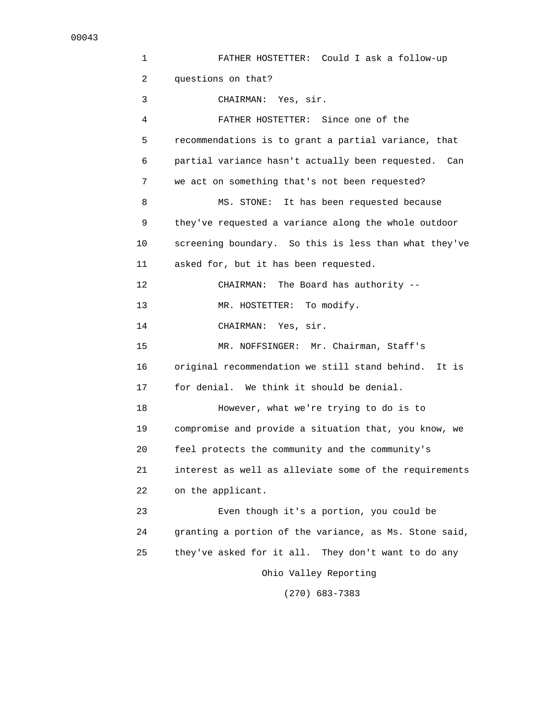| 1  | FATHER HOSTETTER: Could I ask a follow-up               |
|----|---------------------------------------------------------|
| 2  | questions on that?                                      |
| 3  | CHAIRMAN: Yes, sir.                                     |
| 4  | FATHER HOSTETTER: Since one of the                      |
| 5  | recommendations is to grant a partial variance, that    |
| 6  | partial variance hasn't actually been requested.<br>Can |
| 7  | we act on something that's not been requested?          |
| 8  | It has been requested because<br>MS. STONE:             |
| 9  | they've requested a variance along the whole outdoor    |
| 10 | screening boundary. So this is less than what they've   |
| 11 | asked for, but it has been requested.                   |
| 12 | The Board has authority --<br>CHAIRMAN:                 |
| 13 | To modify.<br>MR. HOSTETTER:                            |
| 14 | CHAIRMAN: Yes, sir.                                     |
| 15 | MR. NOFFSINGER: Mr. Chairman, Staff's                   |
| 16 | original recommendation we still stand behind.<br>It is |
| 17 | for denial. We think it should be denial.               |
| 18 | However, what we're trying to do is to                  |
| 19 | compromise and provide a situation that, you know, we   |
| 20 | feel protects the community and the community's         |
| 21 | interest as well as alleviate some of the requirements  |
| 22 | on the applicant.                                       |
| 23 | Even though it's a portion, you could be                |
| 24 | granting a portion of the variance, as Ms. Stone said,  |
| 25 | they've asked for it all. They don't want to do any     |
|    | Ohio Valley Reporting                                   |
|    |                                                         |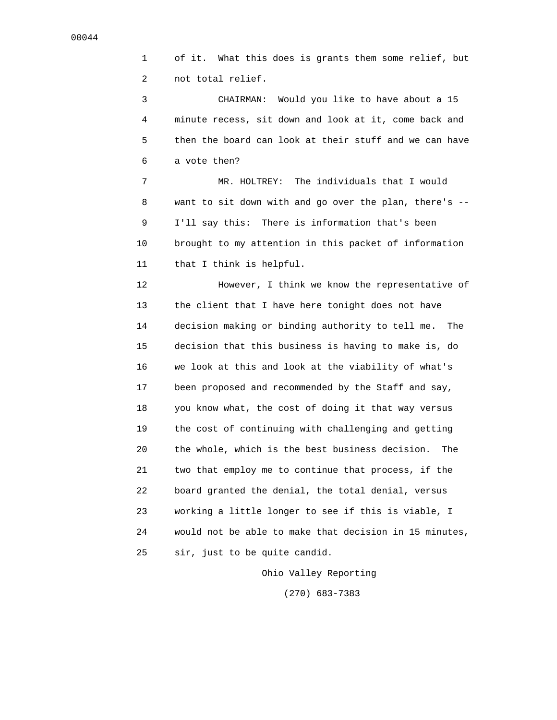1 of it. What this does is grants them some relief, but 2 not total relief.

 3 CHAIRMAN: Would you like to have about a 15 4 minute recess, sit down and look at it, come back and 5 then the board can look at their stuff and we can have 6 a vote then?

 7 MR. HOLTREY: The individuals that I would 8 want to sit down with and go over the plan, there's -- 9 I'll say this: There is information that's been 10 brought to my attention in this packet of information 11 that I think is helpful.

 12 However, I think we know the representative of 13 the client that I have here tonight does not have 14 decision making or binding authority to tell me. The 15 decision that this business is having to make is, do 16 we look at this and look at the viability of what's 17 been proposed and recommended by the Staff and say, 18 you know what, the cost of doing it that way versus 19 the cost of continuing with challenging and getting 20 the whole, which is the best business decision. The 21 two that employ me to continue that process, if the 22 board granted the denial, the total denial, versus 23 working a little longer to see if this is viable, I 24 would not be able to make that decision in 15 minutes, 25 sir, just to be quite candid.

Ohio Valley Reporting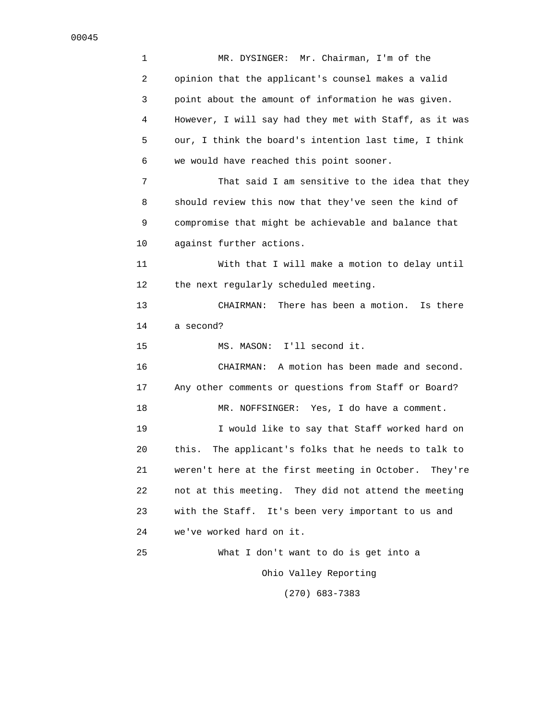1 MR. DYSINGER: Mr. Chairman, I'm of the 2 opinion that the applicant's counsel makes a valid 3 point about the amount of information he was given. 4 However, I will say had they met with Staff, as it was 5 our, I think the board's intention last time, I think 6 we would have reached this point sooner. 7 That said I am sensitive to the idea that they 8 should review this now that they've seen the kind of 9 compromise that might be achievable and balance that 10 against further actions. 11 With that I will make a motion to delay until 12 the next regularly scheduled meeting. 13 CHAIRMAN: There has been a motion. Is there 14 a second? 15 MS. MASON: I'll second it. 16 CHAIRMAN: A motion has been made and second. 17 Any other comments or questions from Staff or Board? 18 MR. NOFFSINGER: Yes, I do have a comment. 19 I would like to say that Staff worked hard on 20 this. The applicant's folks that he needs to talk to 21 weren't here at the first meeting in October. They're 22 not at this meeting. They did not attend the meeting 23 with the Staff. It's been very important to us and 24 we've worked hard on it. 25 What I don't want to do is get into a Ohio Valley Reporting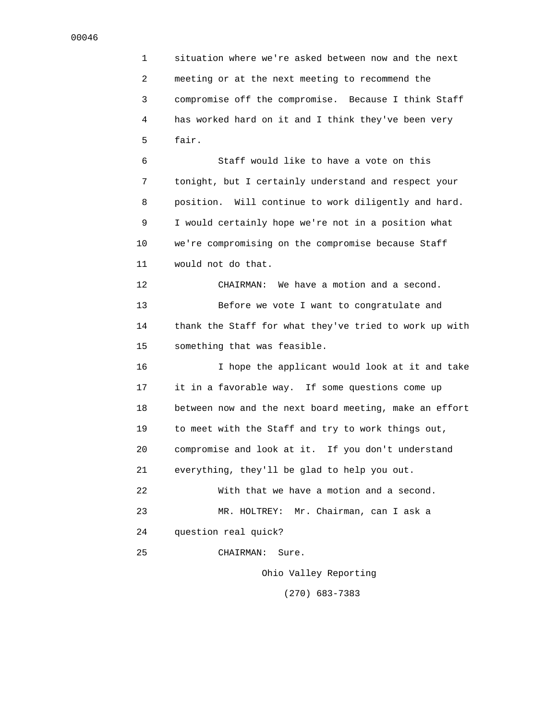1 situation where we're asked between now and the next 2 meeting or at the next meeting to recommend the 3 compromise off the compromise. Because I think Staff 4 has worked hard on it and I think they've been very 5 fair.

 6 Staff would like to have a vote on this 7 tonight, but I certainly understand and respect your 8 position. Will continue to work diligently and hard. 9 I would certainly hope we're not in a position what 10 we're compromising on the compromise because Staff 11 would not do that.

 12 CHAIRMAN: We have a motion and a second. 13 Before we vote I want to congratulate and 14 thank the Staff for what they've tried to work up with 15 something that was feasible.

 16 I hope the applicant would look at it and take 17 it in a favorable way. If some questions come up 18 between now and the next board meeting, make an effort 19 to meet with the Staff and try to work things out, 20 compromise and look at it. If you don't understand 21 everything, they'll be glad to help you out. 22 With that we have a motion and a second. 23 MR. HOLTREY: Mr. Chairman, can I ask a 24 question real quick?

25 CHAIRMAN: Sure.

Ohio Valley Reporting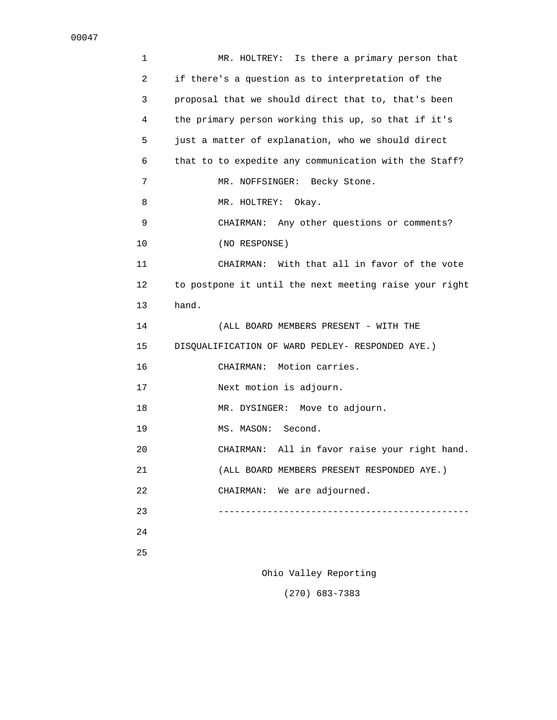1 MR. HOLTREY: Is there a primary person that 2 if there's a question as to interpretation of the 3 proposal that we should direct that to, that's been 4 the primary person working this up, so that if it's 5 just a matter of explanation, who we should direct 6 that to to expedite any communication with the Staff? 7 MR. NOFFSINGER: Becky Stone. 8 MR. HOLTREY: Okay. 9 CHAIRMAN: Any other questions or comments? 10 (NO RESPONSE) 11 CHAIRMAN: With that all in favor of the vote 12 to postpone it until the next meeting raise your right 13 hand. 14 (ALL BOARD MEMBERS PRESENT - WITH THE 15 DISQUALIFICATION OF WARD PEDLEY- RESPONDED AYE.) 16 CHAIRMAN: Motion carries. 17 Next motion is adjourn. 18 MR. DYSINGER: Move to adjourn. 19 MS. MASON: Second. 20 CHAIRMAN: All in favor raise your right hand. 21 (ALL BOARD MEMBERS PRESENT RESPONDED AYE.) 22 CHAIRMAN: We are adjourned. 23 ---------------------------------------------- 24 25

Ohio Valley Reporting